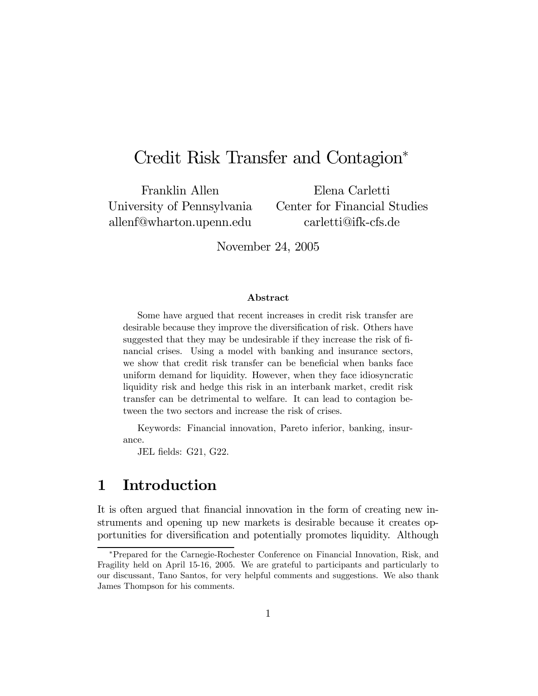# Credit Risk Transfer and Contagion<sup>∗</sup>

Franklin Allen University of Pennsylvania allenf@wharton.upenn.edu

Elena Carletti Center for Financial Studies carletti@ifk-cfs.de

November 24, 2005

#### Abstract

Some have argued that recent increases in credit risk transfer are desirable because they improve the diversification of risk. Others have suggested that they may be undesirable if they increase the risk of financial crises. Using a model with banking and insurance sectors, we show that credit risk transfer can be beneficial when banks face uniform demand for liquidity. However, when they face idiosyncratic liquidity risk and hedge this risk in an interbank market, credit risk transfer can be detrimental to welfare. It can lead to contagion between the two sectors and increase the risk of crises.

Keywords: Financial innovation, Pareto inferior, banking, insurance.

JEL fields: G21, G22.

## 1 Introduction

It is often argued that financial innovation in the form of creating new instruments and opening up new markets is desirable because it creates opportunities for diversification and potentially promotes liquidity. Although

<sup>∗</sup>Prepared for the Carnegie-Rochester Conference on Financial Innovation, Risk, and Fragility held on April 15-16, 2005. We are grateful to participants and particularly to our discussant, Tano Santos, for very helpful comments and suggestions. We also thank James Thompson for his comments.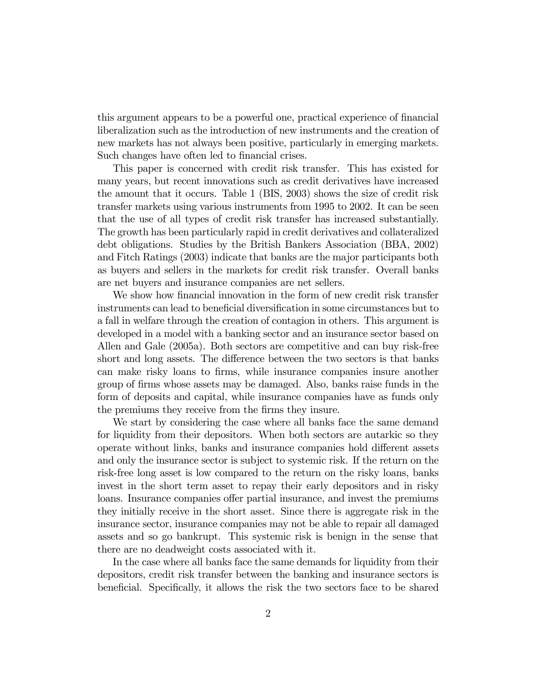this argument appears to be a powerful one, practical experience of financial liberalization such as the introduction of new instruments and the creation of new markets has not always been positive, particularly in emerging markets. Such changes have often led to financial crises.

This paper is concerned with credit risk transfer. This has existed for many years, but recent innovations such as credit derivatives have increased the amount that it occurs. Table 1 (BIS, 2003) shows the size of credit risk transfer markets using various instruments from 1995 to 2002. It can be seen that the use of all types of credit risk transfer has increased substantially. The growth has been particularly rapid in credit derivatives and collateralized debt obligations. Studies by the British Bankers Association (BBA, 2002) and Fitch Ratings (2003) indicate that banks are the major participants both as buyers and sellers in the markets for credit risk transfer. Overall banks are net buyers and insurance companies are net sellers.

We show how financial innovation in the form of new credit risk transfer instruments can lead to beneficial diversification in some circumstances but to a fall in welfare through the creation of contagion in others. This argument is developed in a model with a banking sector and an insurance sector based on Allen and Gale (2005a). Both sectors are competitive and can buy risk-free short and long assets. The difference between the two sectors is that banks can make risky loans to firms, while insurance companies insure another group of firms whose assets may be damaged. Also, banks raise funds in the form of deposits and capital, while insurance companies have as funds only the premiums they receive from the firms they insure.

We start by considering the case where all banks face the same demand for liquidity from their depositors. When both sectors are autarkic so they operate without links, banks and insurance companies hold different assets and only the insurance sector is subject to systemic risk. If the return on the risk-free long asset is low compared to the return on the risky loans, banks invest in the short term asset to repay their early depositors and in risky loans. Insurance companies offer partial insurance, and invest the premiums they initially receive in the short asset. Since there is aggregate risk in the insurance sector, insurance companies may not be able to repair all damaged assets and so go bankrupt. This systemic risk is benign in the sense that there are no deadweight costs associated with it.

In the case where all banks face the same demands for liquidity from their depositors, credit risk transfer between the banking and insurance sectors is beneficial. Specifically, it allows the risk the two sectors face to be shared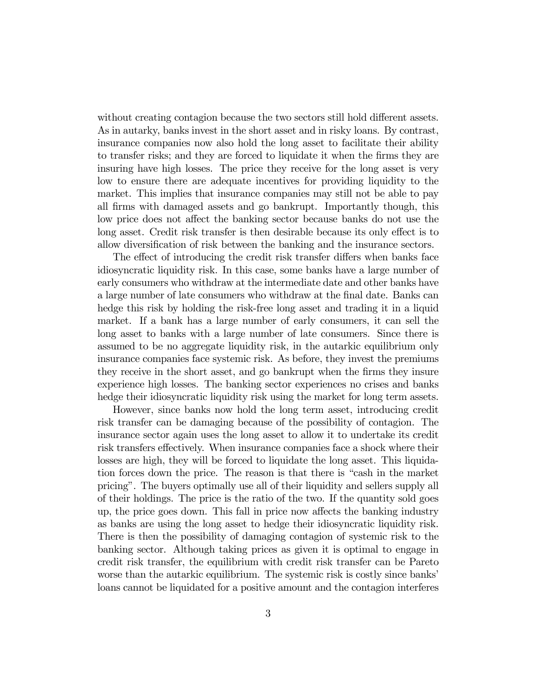without creating contagion because the two sectors still hold different assets. As in autarky, banks invest in the short asset and in risky loans. By contrast, insurance companies now also hold the long asset to facilitate their ability to transfer risks; and they are forced to liquidate it when the firms they are insuring have high losses. The price they receive for the long asset is very low to ensure there are adequate incentives for providing liquidity to the market. This implies that insurance companies may still not be able to pay all firms with damaged assets and go bankrupt. Importantly though, this low price does not affect the banking sector because banks do not use the long asset. Credit risk transfer is then desirable because its only effect is to allow diversification of risk between the banking and the insurance sectors.

The effect of introducing the credit risk transfer differs when banks face idiosyncratic liquidity risk. In this case, some banks have a large number of early consumers who withdraw at the intermediate date and other banks have a large number of late consumers who withdraw at the final date. Banks can hedge this risk by holding the risk-free long asset and trading it in a liquid market. If a bank has a large number of early consumers, it can sell the long asset to banks with a large number of late consumers. Since there is assumed to be no aggregate liquidity risk, in the autarkic equilibrium only insurance companies face systemic risk. As before, they invest the premiums they receive in the short asset, and go bankrupt when the firms they insure experience high losses. The banking sector experiences no crises and banks hedge their idiosyncratic liquidity risk using the market for long term assets.

However, since banks now hold the long term asset, introducing credit risk transfer can be damaging because of the possibility of contagion. The insurance sector again uses the long asset to allow it to undertake its credit risk transfers effectively. When insurance companies face a shock where their losses are high, they will be forced to liquidate the long asset. This liquidation forces down the price. The reason is that there is "cash in the market pricing". The buyers optimally use all of their liquidity and sellers supply all of their holdings. The price is the ratio of the two. If the quantity sold goes up, the price goes down. This fall in price now affects the banking industry as banks are using the long asset to hedge their idiosyncratic liquidity risk. There is then the possibility of damaging contagion of systemic risk to the banking sector. Although taking prices as given it is optimal to engage in credit risk transfer, the equilibrium with credit risk transfer can be Pareto worse than the autarkic equilibrium. The systemic risk is costly since banks' loans cannot be liquidated for a positive amount and the contagion interferes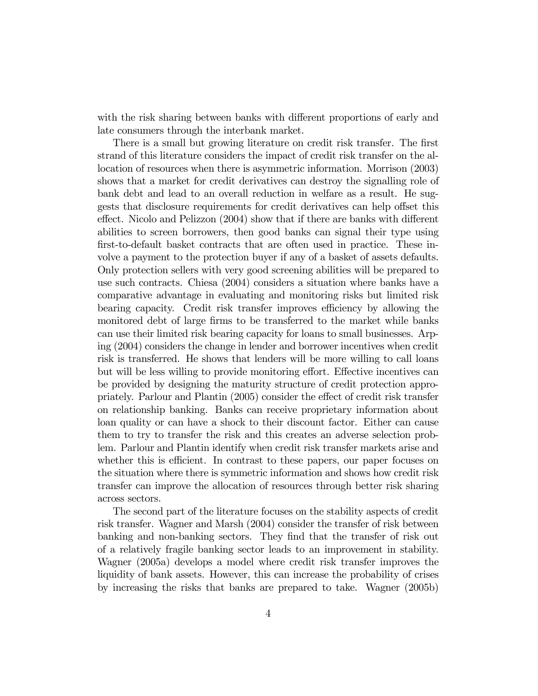with the risk sharing between banks with different proportions of early and late consumers through the interbank market.

There is a small but growing literature on credit risk transfer. The first strand of this literature considers the impact of credit risk transfer on the allocation of resources when there is asymmetric information. Morrison (2003) shows that a market for credit derivatives can destroy the signalling role of bank debt and lead to an overall reduction in welfare as a result. He suggests that disclosure requirements for credit derivatives can help offset this effect. Nicolo and Pelizzon (2004) show that if there are banks with different abilities to screen borrowers, then good banks can signal their type using first-to-default basket contracts that are often used in practice. These involve a payment to the protection buyer if any of a basket of assets defaults. Only protection sellers with very good screening abilities will be prepared to use such contracts. Chiesa (2004) considers a situation where banks have a comparative advantage in evaluating and monitoring risks but limited risk bearing capacity. Credit risk transfer improves efficiency by allowing the monitored debt of large firms to be transferred to the market while banks can use their limited risk bearing capacity for loans to small businesses. Arping (2004) considers the change in lender and borrower incentives when credit risk is transferred. He shows that lenders will be more willing to call loans but will be less willing to provide monitoring effort. Effective incentives can be provided by designing the maturity structure of credit protection appropriately. Parlour and Plantin (2005) consider the effect of credit risk transfer on relationship banking. Banks can receive proprietary information about loan quality or can have a shock to their discount factor. Either can cause them to try to transfer the risk and this creates an adverse selection problem. Parlour and Plantin identify when credit risk transfer markets arise and whether this is efficient. In contrast to these papers, our paper focuses on the situation where there is symmetric information and shows how credit risk transfer can improve the allocation of resources through better risk sharing across sectors.

The second part of the literature focuses on the stability aspects of credit risk transfer. Wagner and Marsh (2004) consider the transfer of risk between banking and non-banking sectors. They find that the transfer of risk out of a relatively fragile banking sector leads to an improvement in stability. Wagner (2005a) develops a model where credit risk transfer improves the liquidity of bank assets. However, this can increase the probability of crises by increasing the risks that banks are prepared to take. Wagner (2005b)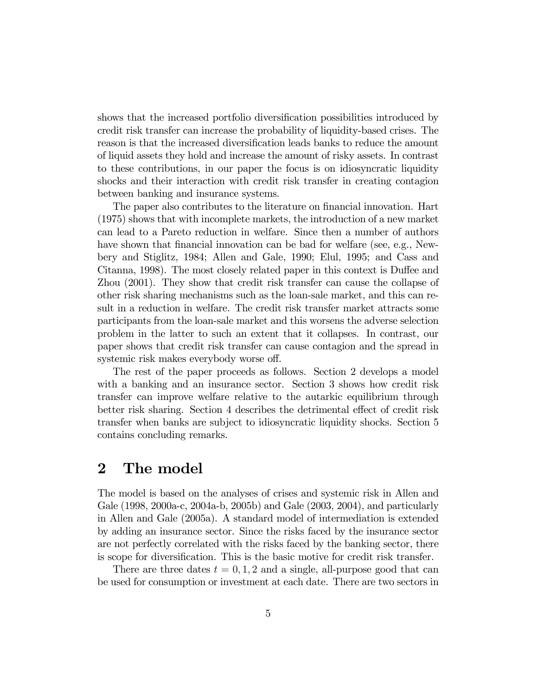shows that the increased portfolio diversification possibilities introduced by credit risk transfer can increase the probability of liquidity-based crises. The reason is that the increased diversification leads banks to reduce the amount of liquid assets they hold and increase the amount of risky assets. In contrast to these contributions, in our paper the focus is on idiosyncratic liquidity shocks and their interaction with credit risk transfer in creating contagion between banking and insurance systems.

The paper also contributes to the literature on financial innovation. Hart (1975) shows that with incomplete markets, the introduction of a new market can lead to a Pareto reduction in welfare. Since then a number of authors have shown that financial innovation can be bad for welfare (see, e.g., Newbery and Stiglitz, 1984; Allen and Gale, 1990; Elul, 1995; and Cass and Citanna, 1998). The most closely related paper in this context is Duffee and Zhou (2001). They show that credit risk transfer can cause the collapse of other risk sharing mechanisms such as the loan-sale market, and this can result in a reduction in welfare. The credit risk transfer market attracts some participants from the loan-sale market and this worsens the adverse selection problem in the latter to such an extent that it collapses. In contrast, our paper shows that credit risk transfer can cause contagion and the spread in systemic risk makes everybody worse off.

The rest of the paper proceeds as follows. Section 2 develops a model with a banking and an insurance sector. Section 3 shows how credit risk transfer can improve welfare relative to the autarkic equilibrium through better risk sharing. Section 4 describes the detrimental effect of credit risk transfer when banks are subject to idiosyncratic liquidity shocks. Section 5 contains concluding remarks.

## 2 The model

The model is based on the analyses of crises and systemic risk in Allen and Gale (1998, 2000a-c, 2004a-b, 2005b) and Gale (2003, 2004), and particularly in Allen and Gale (2005a). A standard model of intermediation is extended by adding an insurance sector. Since the risks faced by the insurance sector are not perfectly correlated with the risks faced by the banking sector, there is scope for diversification. This is the basic motive for credit risk transfer.

There are three dates  $t = 0, 1, 2$  and a single, all-purpose good that can be used for consumption or investment at each date. There are two sectors in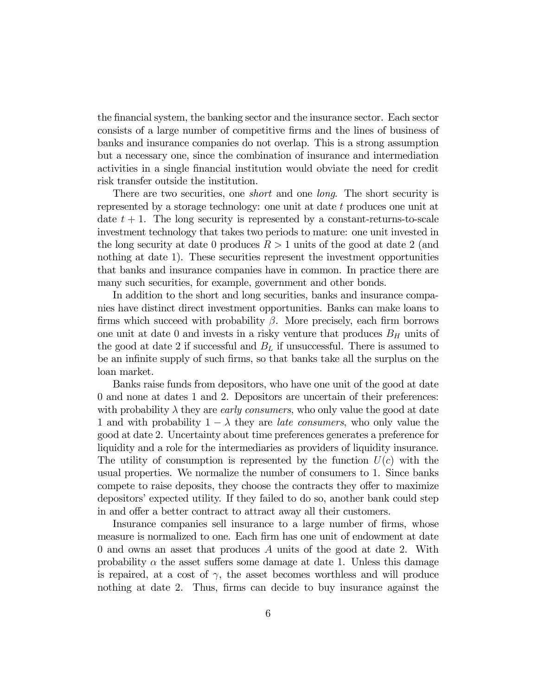the financial system, the banking sector and the insurance sector. Each sector consists of a large number of competitive firms and the lines of business of banks and insurance companies do not overlap. This is a strong assumption but a necessary one, since the combination of insurance and intermediation activities in a single financial institution would obviate the need for credit risk transfer outside the institution.

There are two securities, one *short* and one *long*. The short security is represented by a storage technology: one unit at date t produces one unit at date  $t + 1$ . The long security is represented by a constant-returns-to-scale investment technology that takes two periods to mature: one unit invested in the long security at date 0 produces  $R > 1$  units of the good at date 2 (and nothing at date 1). These securities represent the investment opportunities that banks and insurance companies have in common. In practice there are many such securities, for example, government and other bonds.

In addition to the short and long securities, banks and insurance companies have distinct direct investment opportunities. Banks can make loans to firms which succeed with probability  $\beta$ . More precisely, each firm borrows one unit at date 0 and invests in a risky venture that produces  $B_H$  units of the good at date 2 if successful and  $B<sub>L</sub>$  if unsuccessful. There is assumed to be an infinite supply of such firms, so that banks take all the surplus on the loan market.

Banks raise funds from depositors, who have one unit of the good at date 0 and none at dates 1 and 2. Depositors are uncertain of their preferences: with probability  $\lambda$  they are *early consumers*, who only value the good at date 1 and with probability  $1 - \lambda$  they are *late consumers*, who only value the good at date 2. Uncertainty about time preferences generates a preference for liquidity and a role for the intermediaries as providers of liquidity insurance. The utility of consumption is represented by the function  $U(c)$  with the usual properties. We normalize the number of consumers to 1. Since banks compete to raise deposits, they choose the contracts they offer to maximize depositors' expected utility. If they failed to do so, another bank could step in and offer a better contract to attract away all their customers.

Insurance companies sell insurance to a large number of firms, whose measure is normalized to one. Each firm has one unit of endowment at date 0 and owns an asset that produces A units of the good at date 2. With probability  $\alpha$  the asset suffers some damage at date 1. Unless this damage is repaired, at a cost of  $\gamma$ , the asset becomes worthless and will produce nothing at date 2. Thus, firms can decide to buy insurance against the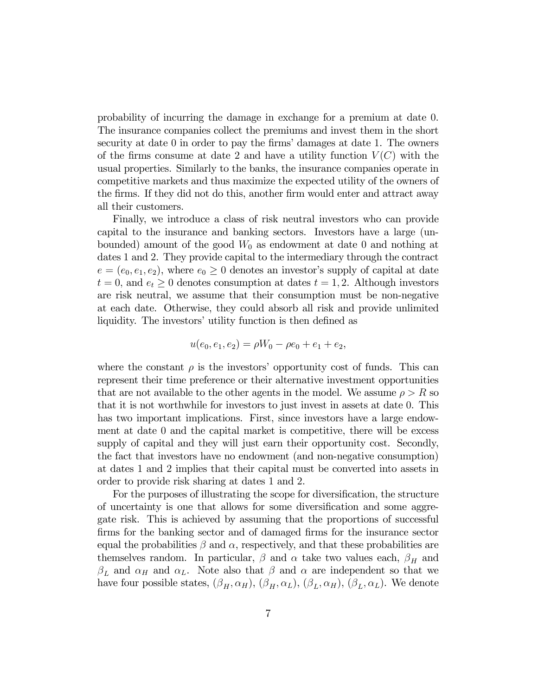probability of incurring the damage in exchange for a premium at date 0. The insurance companies collect the premiums and invest them in the short security at date 0 in order to pay the firms' damages at date 1. The owners of the firms consume at date 2 and have a utility function  $V(C)$  with the usual properties. Similarly to the banks, the insurance companies operate in competitive markets and thus maximize the expected utility of the owners of the firms. If they did not do this, another firm would enter and attract away all their customers.

Finally, we introduce a class of risk neutral investors who can provide capital to the insurance and banking sectors. Investors have a large (unbounded) amount of the good  $W_0$  as endowment at date 0 and nothing at dates 1 and 2. They provide capital to the intermediary through the contract  $e = (e_0, e_1, e_2)$ , where  $e_0 \geq 0$  denotes an investor's supply of capital at date  $t = 0$ , and  $e_t \geq 0$  denotes consumption at dates  $t = 1, 2$ . Although investors are risk neutral, we assume that their consumption must be non-negative at each date. Otherwise, they could absorb all risk and provide unlimited liquidity. The investors' utility function is then defined as

$$
u(e_0, e_1, e_2) = \rho W_0 - \rho e_0 + e_1 + e_2,
$$

where the constant  $\rho$  is the investors' opportunity cost of funds. This can represent their time preference or their alternative investment opportunities that are not available to the other agents in the model. We assume  $\rho > R$  so that it is not worthwhile for investors to just invest in assets at date 0. This has two important implications. First, since investors have a large endowment at date 0 and the capital market is competitive, there will be excess supply of capital and they will just earn their opportunity cost. Secondly, the fact that investors have no endowment (and non-negative consumption) at dates 1 and 2 implies that their capital must be converted into assets in order to provide risk sharing at dates 1 and 2.

For the purposes of illustrating the scope for diversification, the structure of uncertainty is one that allows for some diversification and some aggregate risk. This is achieved by assuming that the proportions of successful firms for the banking sector and of damaged firms for the insurance sector equal the probabilities  $\beta$  and  $\alpha$ , respectively, and that these probabilities are themselves random. In particular,  $\beta$  and  $\alpha$  take two values each,  $\beta_H$  and  $\beta_L$  and  $\alpha_H$  and  $\alpha_L$ . Note also that  $\beta$  and  $\alpha$  are independent so that we have four possible states,  $(\beta_H, \alpha_H)$ ,  $(\beta_H, \alpha_L)$ ,  $(\beta_L, \alpha_H)$ ,  $(\beta_L, \alpha_L)$ . We denote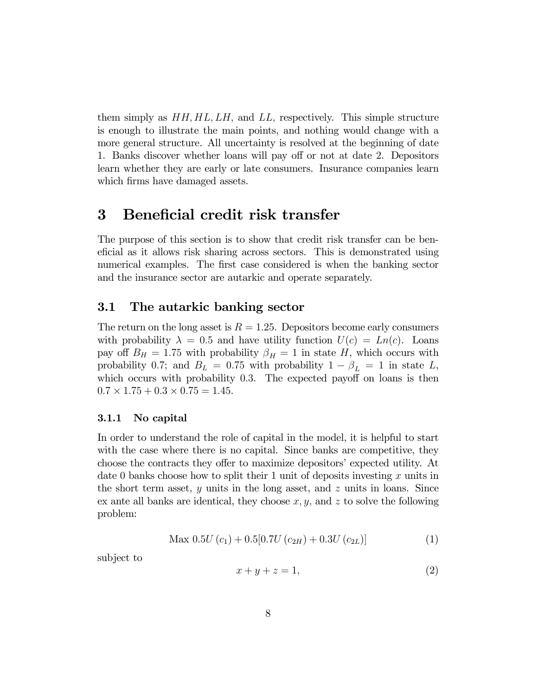them simply as  $HH, HL, LH$ , and  $LL$ , respectively. This simple structure is enough to illustrate the main points, and nothing would change with a more general structure. All uncertainty is resolved at the beginning of date 1. Banks discover whether loans will pay off or not at date 2. Depositors learn whether they are early or late consumers. Insurance companies learn which firms have damaged assets.

## 3 Beneficial credit risk transfer

The purpose of this section is to show that credit risk transfer can be beneficial as it allows risk sharing across sectors. This is demonstrated using numerical examples. The first case considered is when the banking sector and the insurance sector are autarkic and operate separately.

### 3.1 The autarkic banking sector

The return on the long asset is  $R = 1.25$ . Depositors become early consumers with probability  $\lambda = 0.5$  and have utility function  $U(c) = Ln(c)$ . Loans pay off  $B_H = 1.75$  with probability  $\beta_H = 1$  in state H, which occurs with probability 0.7; and  $B_L = 0.75$  with probability  $1 - \beta_L = 1$  in state L, which occurs with probability 0.3. The expected payoff on loans is then  $0.7 \times 1.75 + 0.3 \times 0.75 = 1.45.$ 

#### 3.1.1 No capital

In order to understand the role of capital in the model, it is helpful to start with the case where there is no capital. Since banks are competitive, they choose the contracts they offer to maximize depositors' expected utility. At date 0 banks choose how to split their 1 unit of deposits investing  $x$  units in the short term asset,  $y$  units in the long asset, and  $z$  units in loans. Since ex ante all banks are identical, they choose  $x, y$ , and z to solve the following problem:

$$
\text{Max } 0.5U(c_1) + 0.5[0.7U(c_{2H}) + 0.3U(c_{2L})] \tag{1}
$$

subject to

$$
x + y + z = 1,\t\t(2)
$$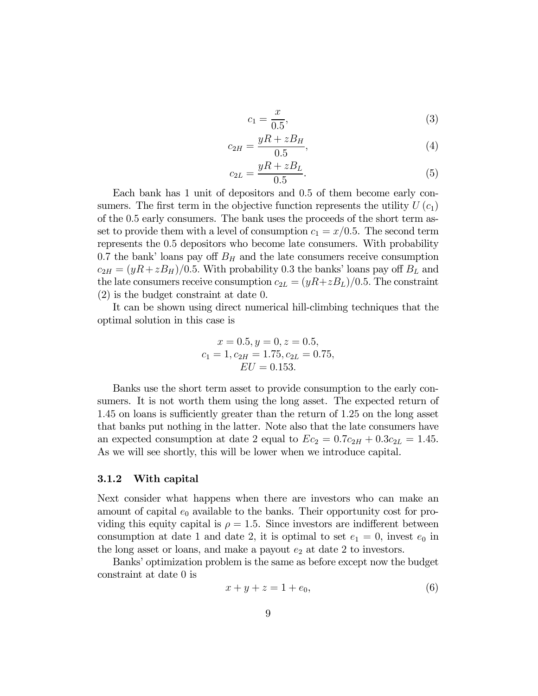$$
c_1 = \frac{x}{0.5},\tag{3}
$$

$$
c_{2H} = \frac{yR + zB_H}{0.5},
$$
\n(4)

$$
c_{2L} = \frac{yR + zB_L}{0.5}.
$$
 (5)

Each bank has 1 unit of depositors and 0.5 of them become early consumers. The first term in the objective function represents the utility  $U(c_1)$ of the 0.5 early consumers. The bank uses the proceeds of the short term asset to provide them with a level of consumption  $c_1 = x/0.5$ . The second term represents the 0.5 depositors who become late consumers. With probability 0.7 the bank' loans pay off  $B_H$  and the late consumers receive consumption  $c_{2H} = (yR + zB_H)/0.5$ . With probability 0.3 the banks' loans pay off  $B_L$  and the late consumers receive consumption  $c_{2L} = (yR + zB_L)/0.5$ . The constraint (2) is the budget constraint at date 0.

It can be shown using direct numerical hill-climbing techniques that the optimal solution in this case is

$$
x = 0.5, y = 0, z = 0.5,\nc_1 = 1, c_{2H} = 1.75, c_{2L} = 0.75,\nEU = 0.153.
$$

Banks use the short term asset to provide consumption to the early consumers. It is not worth them using the long asset. The expected return of 1.45 on loans is sufficiently greater than the return of 1.25 on the long asset that banks put nothing in the latter. Note also that the late consumers have an expected consumption at date 2 equal to  $Ec_2 = 0.7c_{2H} + 0.3c_{2L} = 1.45$ . As we will see shortly, this will be lower when we introduce capital.

#### 3.1.2 With capital

Next consider what happens when there are investors who can make an amount of capital  $e_0$  available to the banks. Their opportunity cost for providing this equity capital is  $\rho = 1.5$ . Since investors are indifferent between consumption at date 1 and date 2, it is optimal to set  $e_1 = 0$ , invest  $e_0$  in the long asset or loans, and make a payout  $e_2$  at date 2 to investors.

Banks' optimization problem is the same as before except now the budget constraint at date 0 is

$$
x + y + z = 1 + e_0,\t\t(6)
$$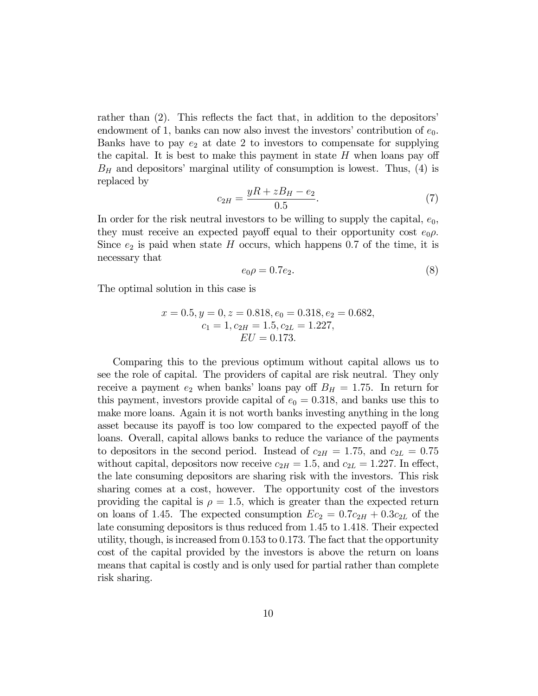rather than (2). This reflects the fact that, in addition to the depositors' endowment of 1, banks can now also invest the investors' contribution of  $e_0$ . Banks have to pay  $e_2$  at date 2 to investors to compensate for supplying the capital. It is best to make this payment in state  $H$  when loans pay off  $B_H$  and depositors' marginal utility of consumption is lowest. Thus, (4) is replaced by

$$
c_{2H} = \frac{yR + zB_H - e_2}{0.5}.
$$
 (7)

In order for the risk neutral investors to be willing to supply the capital,  $e_0$ , they must receive an expected payoff equal to their opportunity cost  $e_0\rho$ . Since  $e_2$  is paid when state H occurs, which happens 0.7 of the time, it is necessary that

$$
e_0 \rho = 0.7 e_2. \tag{8}
$$

The optimal solution in this case is

$$
x = 0.5, y = 0, z = 0.818, e_0 = 0.318, e_2 = 0.682,
$$
  
 $c_1 = 1, c_{2H} = 1.5, c_{2L} = 1.227,$   
 $EU = 0.173.$ 

Comparing this to the previous optimum without capital allows us to see the role of capital. The providers of capital are risk neutral. They only receive a payment  $e_2$  when banks' loans pay off  $B_H = 1.75$ . In return for this payment, investors provide capital of  $e_0 = 0.318$ , and banks use this to make more loans. Again it is not worth banks investing anything in the long asset because its payoff is too low compared to the expected payoff of the loans. Overall, capital allows banks to reduce the variance of the payments to depositors in the second period. Instead of  $c_{2H} = 1.75$ , and  $c_{2L} = 0.75$ without capital, depositors now receive  $c_{2H} = 1.5$ , and  $c_{2L} = 1.227$ . In effect, the late consuming depositors are sharing risk with the investors. This risk sharing comes at a cost, however. The opportunity cost of the investors providing the capital is  $\rho = 1.5$ , which is greater than the expected return on loans of 1.45. The expected consumption  $Ec_2 = 0.7c_{2H} + 0.3c_{2L}$  of the late consuming depositors is thus reduced from 1.45 to 1.418. Their expected utility, though, is increased from 0.153 to 0.173. The fact that the opportunity cost of the capital provided by the investors is above the return on loans means that capital is costly and is only used for partial rather than complete risk sharing.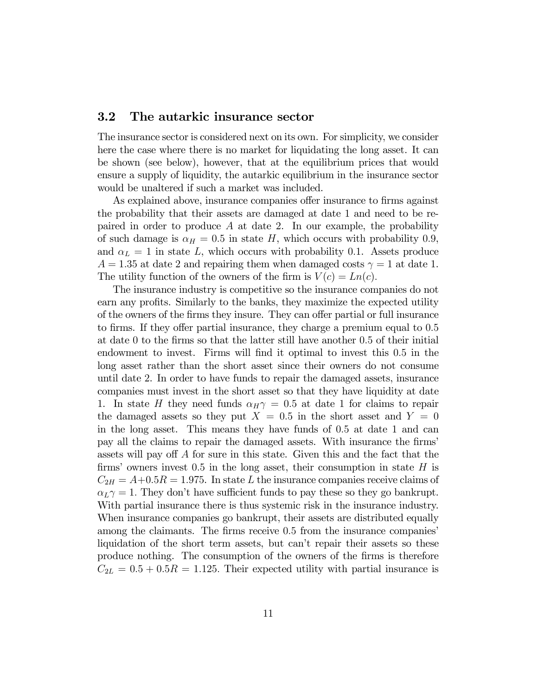### 3.2 The autarkic insurance sector

The insurance sector is considered next on its own. For simplicity, we consider here the case where there is no market for liquidating the long asset. It can be shown (see below), however, that at the equilibrium prices that would ensure a supply of liquidity, the autarkic equilibrium in the insurance sector would be unaltered if such a market was included.

As explained above, insurance companies offer insurance to firms against the probability that their assets are damaged at date 1 and need to be repaired in order to produce  $A$  at date 2. In our example, the probability of such damage is  $\alpha_H = 0.5$  in state H, which occurs with probability 0.9, and  $\alpha_L = 1$  in state L, which occurs with probability 0.1. Assets produce  $A = 1.35$  at date 2 and repairing them when damaged costs  $\gamma = 1$  at date 1. The utility function of the owners of the firm is  $V(c) = Ln(c)$ .

The insurance industry is competitive so the insurance companies do not earn any profits. Similarly to the banks, they maximize the expected utility of the owners of the firms they insure. They can offer partial or full insurance to firms. If they offer partial insurance, they charge a premium equal to 0.5 at date 0 to the firms so that the latter still have another 0.5 of their initial endowment to invest. Firms will find it optimal to invest this 0.5 in the long asset rather than the short asset since their owners do not consume until date 2. In order to have funds to repair the damaged assets, insurance companies must invest in the short asset so that they have liquidity at date 1. In state H they need funds  $\alpha_{H}\gamma = 0.5$  at date 1 for claims to repair the damaged assets so they put  $X = 0.5$  in the short asset and  $Y = 0$ in the long asset. This means they have funds of 0.5 at date 1 and can pay all the claims to repair the damaged assets. With insurance the firms' assets will pay off A for sure in this state. Given this and the fact that the firms' owners invest 0.5 in the long asset, their consumption in state  $H$  is  $C_{2H} = A + 0.5R = 1.975$ . In state L the insurance companies receive claims of  $\alpha_L \gamma = 1$ . They don't have sufficient funds to pay these so they go bankrupt. With partial insurance there is thus systemic risk in the insurance industry. When insurance companies go bankrupt, their assets are distributed equally among the claimants. The firms receive 0.5 from the insurance companies' liquidation of the short term assets, but can't repair their assets so these produce nothing. The consumption of the owners of the firms is therefore  $C_{2L} = 0.5 + 0.5R = 1.125$ . Their expected utility with partial insurance is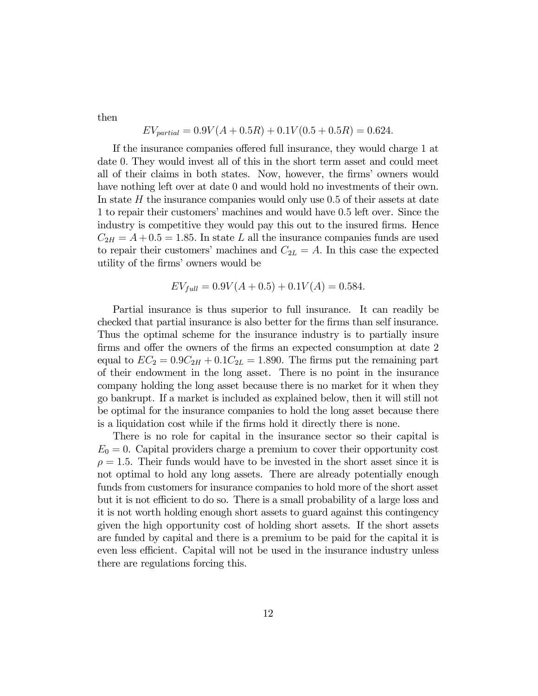then

### $EV_{partial} = 0.9V(A + 0.5R) + 0.1V(0.5 + 0.5R) = 0.624.$

If the insurance companies offered full insurance, they would charge 1 at date 0. They would invest all of this in the short term asset and could meet all of their claims in both states. Now, however, the firms' owners would have nothing left over at date 0 and would hold no investments of their own. In state H the insurance companies would only use 0.5 of their assets at date 1 to repair their customers' machines and would have 0.5 left over. Since the industry is competitive they would pay this out to the insured firms. Hence  $C_{2H} = A + 0.5 = 1.85$ . In state L all the insurance companies funds are used to repair their customers' machines and  $C_{2L} = A$ . In this case the expected utility of the firms' owners would be

$$
EV_{full} = 0.9V(A + 0.5) + 0.1V(A) = 0.584.
$$

Partial insurance is thus superior to full insurance. It can readily be checked that partial insurance is also better for the firms than self insurance. Thus the optimal scheme for the insurance industry is to partially insure firms and offer the owners of the firms an expected consumption at date 2 equal to  $EC_2 = 0.9C_{2H} + 0.1C_{2L} = 1.890$ . The firms put the remaining part of their endowment in the long asset. There is no point in the insurance company holding the long asset because there is no market for it when they go bankrupt. If a market is included as explained below, then it will still not be optimal for the insurance companies to hold the long asset because there is a liquidation cost while if the firms hold it directly there is none.

There is no role for capital in the insurance sector so their capital is  $E_0 = 0$ . Capital providers charge a premium to cover their opportunity cost  $\rho = 1.5$ . Their funds would have to be invested in the short asset since it is not optimal to hold any long assets. There are already potentially enough funds from customers for insurance companies to hold more of the short asset but it is not efficient to do so. There is a small probability of a large loss and it is not worth holding enough short assets to guard against this contingency given the high opportunity cost of holding short assets. If the short assets are funded by capital and there is a premium to be paid for the capital it is even less efficient. Capital will not be used in the insurance industry unless there are regulations forcing this.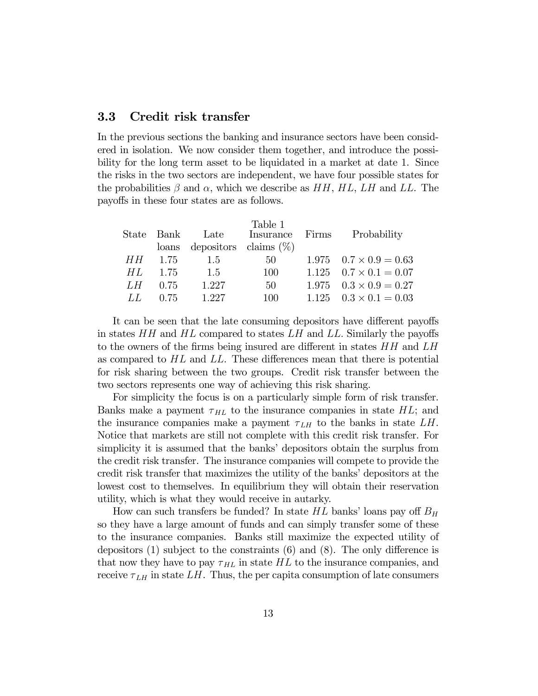### 3.3 Credit risk transfer

In the previous sections the banking and insurance sectors have been considered in isolation. We now consider them together, and introduce the possibility for the long term asset to be liquidated in a market at date 1. Since the risks in the two sectors are independent, we have four possible states for the probabilities  $\beta$  and  $\alpha$ , which we describe as  $HH$ ,  $HL$ ,  $LH$  and  $LL$ . The payoffs in these four states are as follows.

| State | Bank      | Late<br>loans depositors claims $(\%)$ | Table 1<br>Insurance | $\operatorname{Firms}$ | Probability                      |
|-------|-----------|----------------------------------------|----------------------|------------------------|----------------------------------|
|       | $HH$ 1.75 | 1.5                                    | 50                   |                        | $1.975 \t 0.7 \times 0.9 = 0.63$ |
| HL.   | 1 75      | 1.5                                    | 100                  |                        | $1.125 \t 0.7 \times 0.1 = 0.07$ |
| LH.   | 0.75      | 1.227                                  | 50                   |                        | $1.975 \t 0.3 \times 0.9 = 0.27$ |
| LL.   | 0.75      | 1 227                                  | 100                  |                        | $1.125 \t 0.3 \times 0.1 = 0.03$ |
|       |           |                                        |                      |                        |                                  |

It can be seen that the late consuming depositors have different payoffs in states  $HH$  and  $HL$  compared to states  $LH$  and  $LL$ . Similarly the payoffs to the owners of the firms being insured are different in states HH and LH as compared to HL and LL. These differences mean that there is potential for risk sharing between the two groups. Credit risk transfer between the two sectors represents one way of achieving this risk sharing.

For simplicity the focus is on a particularly simple form of risk transfer. Banks make a payment  $\tau_{HL}$  to the insurance companies in state  $HL$ ; and the insurance companies make a payment  $\tau_{LH}$  to the banks in state  $LH$ . Notice that markets are still not complete with this credit risk transfer. For simplicity it is assumed that the banks' depositors obtain the surplus from the credit risk transfer. The insurance companies will compete to provide the credit risk transfer that maximizes the utility of the banks' depositors at the lowest cost to themselves. In equilibrium they will obtain their reservation utility, which is what they would receive in autarky.

How can such transfers be funded? In state  $HL$  banks' loans pay off  $B_H$ so they have a large amount of funds and can simply transfer some of these to the insurance companies. Banks still maximize the expected utility of depositors (1) subject to the constraints (6) and (8). The only difference is that now they have to pay  $\tau_{HL}$  in state HL to the insurance companies, and receive  $\tau_{LH}$  in state LH. Thus, the per capita consumption of late consumers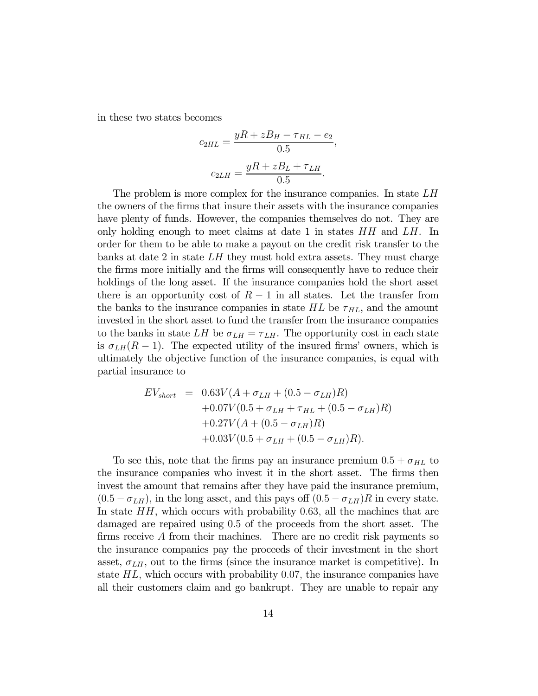in these two states becomes

$$
c_{2HL} = \frac{yR + zB_H - \tau_{HL} - e_2}{0.5},
$$

$$
c_{2LH} = \frac{yR + zB_L + \tau_{LH}}{0.5}.
$$

The problem is more complex for the insurance companies. In state LH the owners of the firms that insure their assets with the insurance companies have plenty of funds. However, the companies themselves do not. They are only holding enough to meet claims at date 1 in states  $HH$  and  $LH$ . In order for them to be able to make a payout on the credit risk transfer to the banks at date 2 in state  $LH$  they must hold extra assets. They must charge the firms more initially and the firms will consequently have to reduce their holdings of the long asset. If the insurance companies hold the short asset there is an opportunity cost of  $R-1$  in all states. Let the transfer from the banks to the insurance companies in state  $HL$  be  $\tau_{HL}$ , and the amount invested in the short asset to fund the transfer from the insurance companies to the banks in state LH be  $\sigma_{LH} = \tau_{LH}$ . The opportunity cost in each state is  $\sigma_{LH}(R-1)$ . The expected utility of the insured firms' owners, which is ultimately the objective function of the insurance companies, is equal with partial insurance to

$$
EV_{short} = 0.63V(A + \sigma_{LH} + (0.5 - \sigma_{LH})R)
$$
  
+0.07V(0.5 + \sigma\_{LH} + \tau\_{HL} + (0.5 - \sigma\_{LH})R)  
+0.27V(A + (0.5 - \sigma\_{LH})R)  
+0.03V(0.5 + \sigma\_{LH} + (0.5 - \sigma\_{LH})R).

To see this, note that the firms pay an insurance premium  $0.5 + \sigma_{HL}$  to the insurance companies who invest it in the short asset. The firms then invest the amount that remains after they have paid the insurance premium,  $(0.5 - \sigma_{LH})$ , in the long asset, and this pays off  $(0.5 - \sigma_{LH})R$  in every state. In state  $HH$ , which occurs with probability 0.63, all the machines that are damaged are repaired using 0.5 of the proceeds from the short asset. The firms receive  $A$  from their machines. There are no credit risk payments so the insurance companies pay the proceeds of their investment in the short asset,  $\sigma_{LH}$ , out to the firms (since the insurance market is competitive). In state HL, which occurs with probability 0.07, the insurance companies have all their customers claim and go bankrupt. They are unable to repair any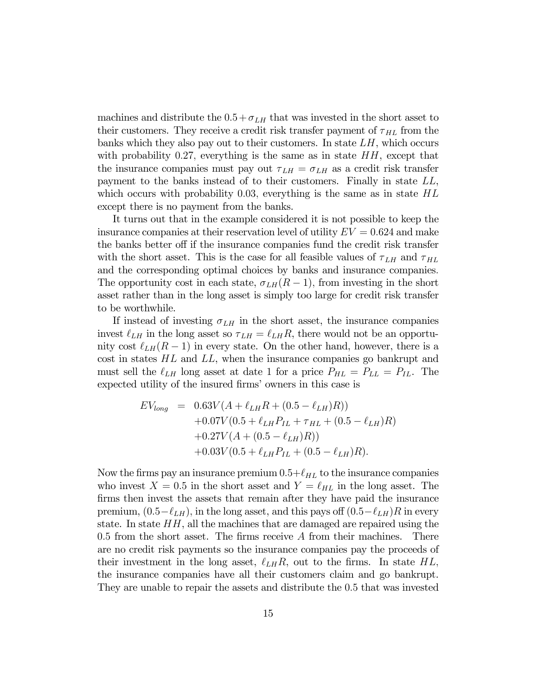machines and distribute the  $0.5 + \sigma_{LH}$  that was invested in the short asset to their customers. They receive a credit risk transfer payment of  $\tau_{HL}$  from the banks which they also pay out to their customers. In state  $LH$ , which occurs with probability 0.27, everything is the same as in state  $HH$ , except that the insurance companies must pay out  $\tau_{LH} = \sigma_{LH}$  as a credit risk transfer payment to the banks instead of to their customers. Finally in state LL, which occurs with probability 0.03, everything is the same as in state  $HL$ except there is no payment from the banks.

It turns out that in the example considered it is not possible to keep the insurance companies at their reservation level of utility  $EV = 0.624$  and make the banks better off if the insurance companies fund the credit risk transfer with the short asset. This is the case for all feasible values of  $\tau_{LH}$  and  $\tau_{HL}$ and the corresponding optimal choices by banks and insurance companies. The opportunity cost in each state,  $\sigma_{LH}(R-1)$ , from investing in the short asset rather than in the long asset is simply too large for credit risk transfer to be worthwhile.

If instead of investing  $\sigma_{LH}$  in the short asset, the insurance companies invest  $\ell_{LH}$  in the long asset so  $\tau_{LH} = \ell_{LH}R$ , there would not be an opportunity cost  $\ell_{LH}(R-1)$  in every state. On the other hand, however, there is a cost in states  $HL$  and  $LL$ , when the insurance companies go bankrupt and must sell the  $\ell_{LH}$  long asset at date 1 for a price  $P_{HL} = P_{LL} = P_{IL}$ . The expected utility of the insured firms' owners in this case is

$$
EV_{long} = 0.63V(A + \ell_{LH}R + (0.5 - \ell_{LH})R))
$$
  
+0.07V(0.5 + \ell\_{LH}P\_{IL} + \tau\_{HL} + (0.5 - \ell\_{LH})R)  
+0.27V(A + (0.5 - \ell\_{LH})R))  
+0.03V(0.5 + \ell\_{LH}P\_{IL} + (0.5 - \ell\_{LH})R).

Now the firms pay an insurance premium  $0.5+\ell_{HL}$  to the insurance companies who invest  $X = 0.5$  in the short asset and  $Y = \ell_{HL}$  in the long asset. The firms then invest the assets that remain after they have paid the insurance premium,  $(0.5-\ell_{LH})$ , in the long asset, and this pays off  $(0.5-\ell_{LH})R$  in every state. In state  $HH$ , all the machines that are damaged are repaired using the  $0.5$  from the short asset. The firms receive  $A$  from their machines. There are no credit risk payments so the insurance companies pay the proceeds of their investment in the long asset,  $\ell_{LH}R$ , out to the firms. In state HL, the insurance companies have all their customers claim and go bankrupt. They are unable to repair the assets and distribute the 0.5 that was invested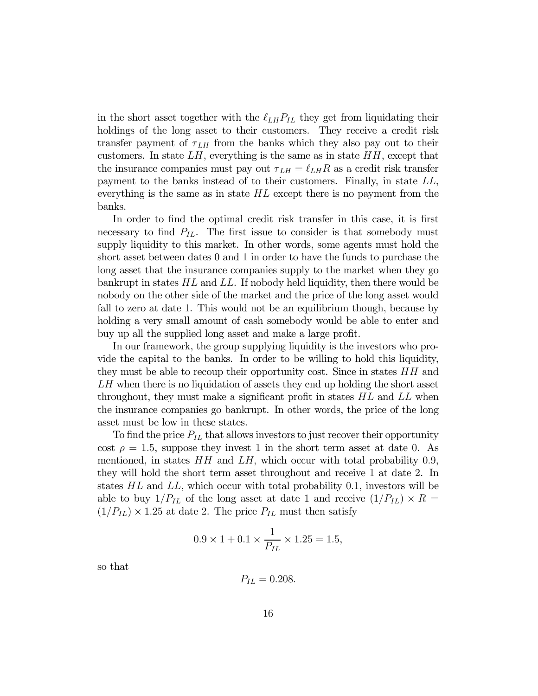in the short asset together with the  $\ell_{LH}P_{IL}$  they get from liquidating their holdings of the long asset to their customers. They receive a credit risk transfer payment of  $\tau_{LH}$  from the banks which they also pay out to their customers. In state  $LH$ , everything is the same as in state  $HH$ , except that the insurance companies must pay out  $\tau_{LH} = \ell_{LH} R$  as a credit risk transfer payment to the banks instead of to their customers. Finally, in state LL, everything is the same as in state  $HL$  except there is no payment from the banks.

In order to find the optimal credit risk transfer in this case, it is first necessary to find  $P_{IL}$ . The first issue to consider is that somebody must supply liquidity to this market. In other words, some agents must hold the short asset between dates 0 and 1 in order to have the funds to purchase the long asset that the insurance companies supply to the market when they go bankrupt in states  $HL$  and  $LL$ . If nobody held liquidity, then there would be nobody on the other side of the market and the price of the long asset would fall to zero at date 1. This would not be an equilibrium though, because by holding a very small amount of cash somebody would be able to enter and buy up all the supplied long asset and make a large profit.

In our framework, the group supplying liquidity is the investors who provide the capital to the banks. In order to be willing to hold this liquidity, they must be able to recoup their opportunity cost. Since in states HH and LH when there is no liquidation of assets they end up holding the short asset throughout, they must make a significant profit in states  $HL$  and  $LL$  when the insurance companies go bankrupt. In other words, the price of the long asset must be low in these states.

To find the price  $P_{IL}$  that allows investors to just recover their opportunity cost  $\rho = 1.5$ , suppose they invest 1 in the short term asset at date 0. As mentioned, in states  $HH$  and  $LH$ , which occur with total probability 0.9, they will hold the short term asset throughout and receive 1 at date 2. In states HL and LL, which occur with total probability 0.1, investors will be able to buy  $1/P_{IL}$  of the long asset at date 1 and receive  $(1/P_{IL}) \times R =$  $(1/P_{IL}) \times 1.25$  at date 2. The price  $P_{IL}$  must then satisfy

$$
0.9 \times 1 + 0.1 \times \frac{1}{P_{IL}} \times 1.25 = 1.5,
$$

so that

$$
P_{IL} = 0.208.
$$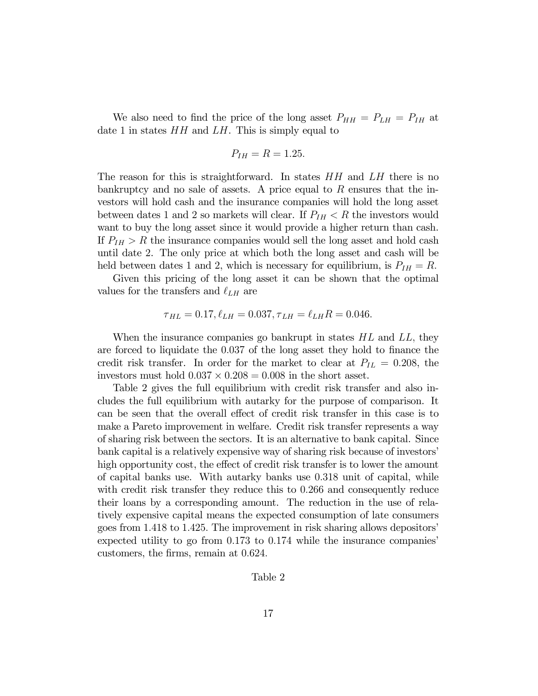We also need to find the price of the long asset  $P_{HH} = P_{LH} = P_{HH}$  at date 1 in states  $HH$  and  $LH$ . This is simply equal to

$$
P_{IH} = R = 1.25.
$$

The reason for this is straightforward. In states  $HH$  and  $LH$  there is no bankruptcy and no sale of assets. A price equal to  $R$  ensures that the investors will hold cash and the insurance companies will hold the long asset between dates 1 and 2 so markets will clear. If  $P_{IH} < R$  the investors would want to buy the long asset since it would provide a higher return than cash. If  $P_{IH} > R$  the insurance companies would sell the long asset and hold cash until date 2. The only price at which both the long asset and cash will be held between dates 1 and 2, which is necessary for equilibrium, is  $P_{IH} = R$ .

Given this pricing of the long asset it can be shown that the optimal values for the transfers and  $\ell_{LH}$  are

$$
\tau_{HL} = 0.17, \ell_{LH} = 0.037, \tau_{LH} = \ell_{LH}R = 0.046.
$$

When the insurance companies go bankrupt in states  $HL$  and  $LL$ , they are forced to liquidate the 0.037 of the long asset they hold to finance the credit risk transfer. In order for the market to clear at  $P_{IL} = 0.208$ , the investors must hold  $0.037 \times 0.208 = 0.008$  in the short asset.

Table 2 gives the full equilibrium with credit risk transfer and also includes the full equilibrium with autarky for the purpose of comparison. It can be seen that the overall effect of credit risk transfer in this case is to make a Pareto improvement in welfare. Credit risk transfer represents a way of sharing risk between the sectors. It is an alternative to bank capital. Since bank capital is a relatively expensive way of sharing risk because of investors' high opportunity cost, the effect of credit risk transfer is to lower the amount of capital banks use. With autarky banks use 0.318 unit of capital, while with credit risk transfer they reduce this to 0.266 and consequently reduce their loans by a corresponding amount. The reduction in the use of relatively expensive capital means the expected consumption of late consumers goes from 1.418 to 1.425. The improvement in risk sharing allows depositors' expected utility to go from 0.173 to 0.174 while the insurance companies' customers, the firms, remain at 0.624.

#### Table 2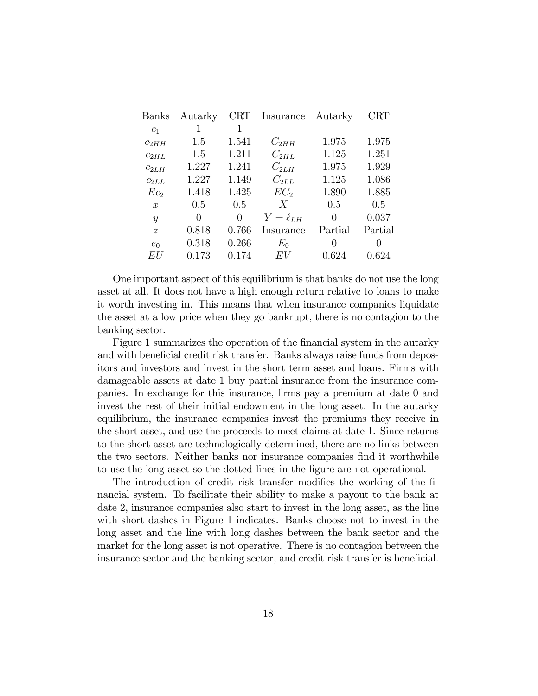| <b>Banks</b>      | Autarky |       | CRT Insurance    | Autarky       |                  |
|-------------------|---------|-------|------------------|---------------|------------------|
| c <sub>1</sub>    |         | 1     |                  |               |                  |
| C <sub>2</sub> HH | 1.5     | 1.541 | $C_{2HH}$        | 1.975         | 1.975            |
| $c_{2HL}$         | 1.5     | 1.211 | $C_{2HL}$        | 1.125         | 1.251            |
| $c_{2LH}$         | 1.227   | 1.241 | $C_{2LH}$        | 1.975         | 1.929            |
| $c_{2LL}$         | 1.227   | 1.149 | $C_{2LL}$        | 1.125         | 1.086            |
| Ec <sub>2</sub>   | 1.418   | 1.425 | EC <sub>2</sub>  | 1.890         | 1.885            |
| $\boldsymbol{x}$  | 0.5     | 0.5   | $\boldsymbol{X}$ | 0.5           | 0.5              |
| $\mathcal{Y}$     | 0       | 0     | $Y = \ell_{LH}$  | 0             | 0.037            |
| $\tilde{z}$       | 0.818   | 0.766 | Insurance        | Partial       | Partial          |
| $e_0$             | 0.318   | 0.266 | $E_0$            | $\mathcal{O}$ | $\left( \right)$ |
| FI)               | 0.173   | 0.174 | EV               | 0.624         | 0.624            |
|                   |         |       |                  |               |                  |

One important aspect of this equilibrium is that banks do not use the long asset at all. It does not have a high enough return relative to loans to make it worth investing in. This means that when insurance companies liquidate the asset at a low price when they go bankrupt, there is no contagion to the banking sector.

Figure 1 summarizes the operation of the financial system in the autarky and with beneficial credit risk transfer. Banks always raise funds from depositors and investors and invest in the short term asset and loans. Firms with damageable assets at date 1 buy partial insurance from the insurance companies. In exchange for this insurance, firms pay a premium at date 0 and invest the rest of their initial endowment in the long asset. In the autarky equilibrium, the insurance companies invest the premiums they receive in the short asset, and use the proceeds to meet claims at date 1. Since returns to the short asset are technologically determined, there are no links between the two sectors. Neither banks nor insurance companies find it worthwhile to use the long asset so the dotted lines in the figure are not operational.

The introduction of credit risk transfer modifies the working of the financial system. To facilitate their ability to make a payout to the bank at date 2, insurance companies also start to invest in the long asset, as the line with short dashes in Figure 1 indicates. Banks choose not to invest in the long asset and the line with long dashes between the bank sector and the market for the long asset is not operative. There is no contagion between the insurance sector and the banking sector, and credit risk transfer is beneficial.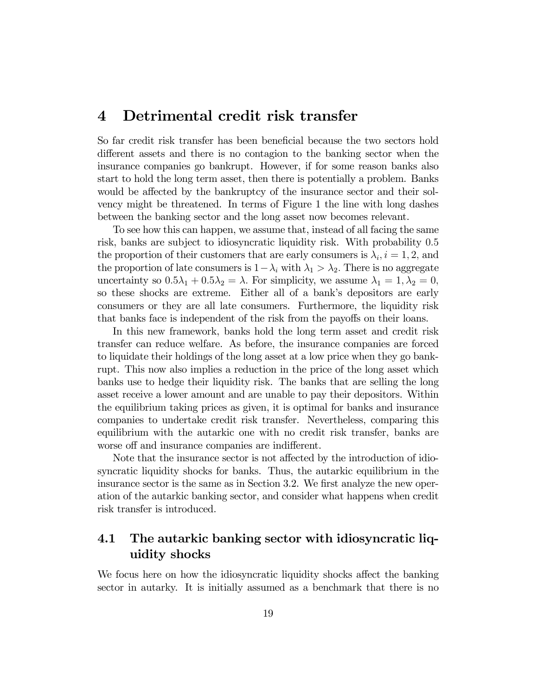## 4 Detrimental credit risk transfer

So far credit risk transfer has been beneficial because the two sectors hold different assets and there is no contagion to the banking sector when the insurance companies go bankrupt. However, if for some reason banks also start to hold the long term asset, then there is potentially a problem. Banks would be affected by the bankruptcy of the insurance sector and their solvency might be threatened. In terms of Figure 1 the line with long dashes between the banking sector and the long asset now becomes relevant.

To see how this can happen, we assume that, instead of all facing the same risk, banks are subject to idiosyncratic liquidity risk. With probability 0.5 the proportion of their customers that are early consumers is  $\lambda_i$ ,  $i = 1, 2$ , and the proportion of late consumers is  $1-\lambda_i$  with  $\lambda_1 > \lambda_2$ . There is no aggregate uncertainty so  $0.5\lambda_1 + 0.5\lambda_2 = \lambda$ . For simplicity, we assume  $\lambda_1 = 1, \lambda_2 = 0$ , so these shocks are extreme. Either all of a bank's depositors are early consumers or they are all late consumers. Furthermore, the liquidity risk that banks face is independent of the risk from the payoffs on their loans.

In this new framework, banks hold the long term asset and credit risk transfer can reduce welfare. As before, the insurance companies are forced to liquidate their holdings of the long asset at a low price when they go bankrupt. This now also implies a reduction in the price of the long asset which banks use to hedge their liquidity risk. The banks that are selling the long asset receive a lower amount and are unable to pay their depositors. Within the equilibrium taking prices as given, it is optimal for banks and insurance companies to undertake credit risk transfer. Nevertheless, comparing this equilibrium with the autarkic one with no credit risk transfer, banks are worse off and insurance companies are indifferent.

Note that the insurance sector is not affected by the introduction of idiosyncratic liquidity shocks for banks. Thus, the autarkic equilibrium in the insurance sector is the same as in Section 3.2. We first analyze the new operation of the autarkic banking sector, and consider what happens when credit risk transfer is introduced.

## 4.1 The autarkic banking sector with idiosyncratic liquidity shocks

We focus here on how the idiosyncratic liquidity shocks affect the banking sector in autarky. It is initially assumed as a benchmark that there is no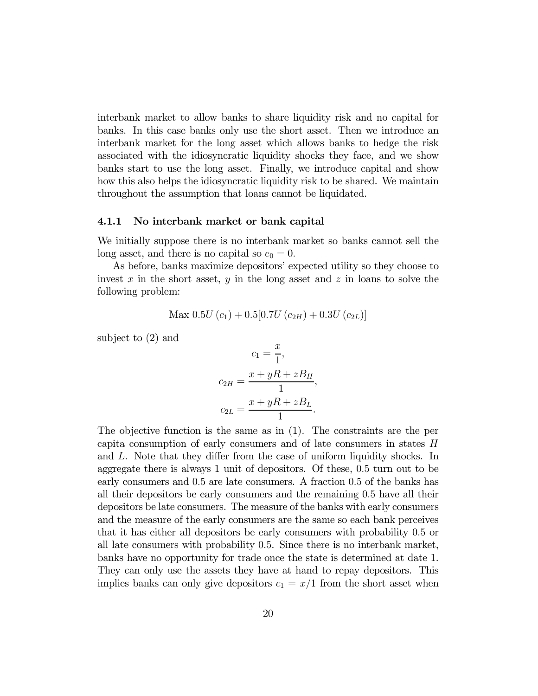interbank market to allow banks to share liquidity risk and no capital for banks. In this case banks only use the short asset. Then we introduce an interbank market for the long asset which allows banks to hedge the risk associated with the idiosyncratic liquidity shocks they face, and we show banks start to use the long asset. Finally, we introduce capital and show how this also helps the idiosyncratic liquidity risk to be shared. We maintain throughout the assumption that loans cannot be liquidated.

#### 4.1.1 No interbank market or bank capital

We initially suppose there is no interbank market so banks cannot sell the long asset, and there is no capital so  $e_0 = 0$ .

As before, banks maximize depositors' expected utility so they choose to invest  $x$  in the short asset,  $y$  in the long asset and  $z$  in loans to solve the following problem:

$$
Max\ 0.5U\ (c_1)+0.5[0.7U\ (c_{2H})+0.3U\ (c_{2L})]
$$

subject to (2) and

$$
c_1 = \frac{x}{1},
$$
  
\n
$$
c_{2H} = \frac{x + yR + zB_H}{1},
$$
  
\n
$$
c_{2L} = \frac{x + yR + zB_L}{1}.
$$

The objective function is the same as in (1). The constraints are the per capita consumption of early consumers and of late consumers in states  $H$ and L. Note that they differ from the case of uniform liquidity shocks. In aggregate there is always 1 unit of depositors. Of these, 0.5 turn out to be early consumers and 0.5 are late consumers. A fraction 0.5 of the banks has all their depositors be early consumers and the remaining 0.5 have all their depositors be late consumers. The measure of the banks with early consumers and the measure of the early consumers are the same so each bank perceives that it has either all depositors be early consumers with probability 0.5 or all late consumers with probability 0.5. Since there is no interbank market, banks have no opportunity for trade once the state is determined at date 1. They can only use the assets they have at hand to repay depositors. This implies banks can only give depositors  $c_1 = x/1$  from the short asset when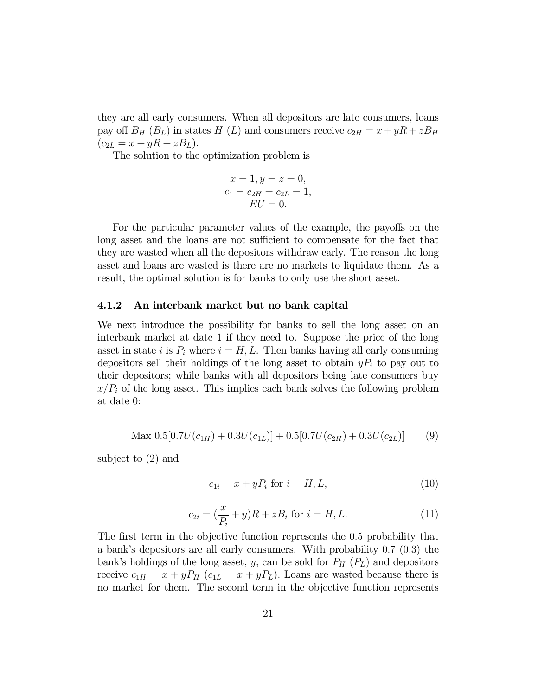they are all early consumers. When all depositors are late consumers, loans pay off  $B_H$  ( $B_L$ ) in states H (L) and consumers receive  $c_{2H} = x + yR + zB_H$  $(c_{2L} = x + yR + zB_L).$ 

The solution to the optimization problem is

$$
x = 1, y = z = 0,\nc_1 = c_{2H} = c_{2L} = 1,\nEU = 0.
$$

For the particular parameter values of the example, the payoffs on the long asset and the loans are not sufficient to compensate for the fact that they are wasted when all the depositors withdraw early. The reason the long asset and loans are wasted is there are no markets to liquidate them. As a result, the optimal solution is for banks to only use the short asset.

#### 4.1.2 An interbank market but no bank capital

We next introduce the possibility for banks to sell the long asset on an interbank market at date 1 if they need to. Suppose the price of the long asset in state i is  $P_i$  where  $i = H, L$ . Then banks having all early consuming depositors sell their holdings of the long asset to obtain  $yP_i$  to pay out to their depositors; while banks with all depositors being late consumers buy  $x/P_i$  of the long asset. This implies each bank solves the following problem at date 0:

$$
\text{Max } 0.5[0.7U(c_{1H}) + 0.3U(c_{1L})] + 0.5[0.7U(c_{2H}) + 0.3U(c_{2L})] \tag{9}
$$

subject to (2) and

$$
c_{1i} = x + yP_i \text{ for } i = H, L,
$$
\n(10)

$$
c_{2i} = (\frac{x}{P_i} + y)R + zB_i \text{ for } i = H, L.
$$
 (11)

The first term in the objective function represents the 0.5 probability that a bank's depositors are all early consumers. With probability 0.7 (0.3) the bank's holdings of the long asset, y, can be sold for  $P_H$   $(P_L)$  and depositors receive  $c_{1H} = x + yP_H$  ( $c_{1L} = x + yP_L$ ). Loans are wasted because there is no market for them. The second term in the objective function represents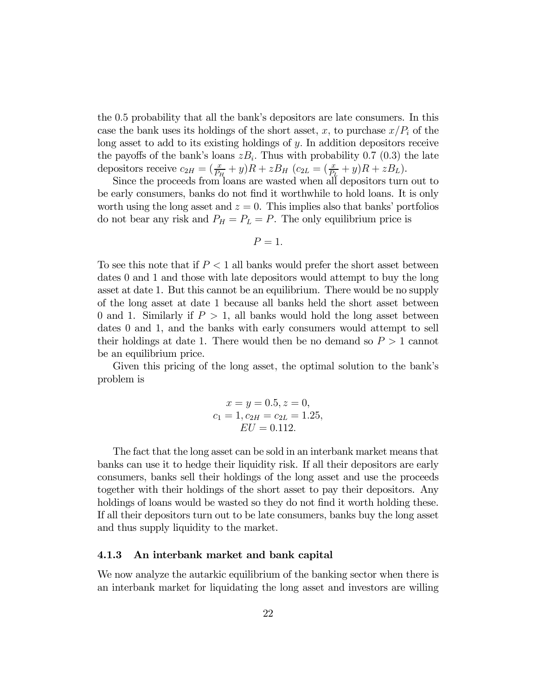the 0.5 probability that all the bank's depositors are late consumers. In this case the bank uses its holdings of the short asset, x, to purchase  $x/P_i$  of the long asset to add to its existing holdings of  $y$ . In addition depositors receive the payoffs of the bank's loans  $zB_i$ . Thus with probability 0.7 (0.3) the late depositors receive  $c_{2H} = \left(\frac{x}{P_H} + y\right)R + zB_H$   $(c_{2L} = \left(\frac{x}{P_L} + y\right)R + zB_L)$ .

Since the proceeds from loans are wasted when all depositors turn out to be early consumers, banks do not find it worthwhile to hold loans. It is only worth using the long asset and  $z = 0$ . This implies also that banks' portfolios do not bear any risk and  $P_H = P_L = P$ . The only equilibrium price is

$$
P=1.
$$

To see this note that if  $P < 1$  all banks would prefer the short asset between dates 0 and 1 and those with late depositors would attempt to buy the long asset at date 1. But this cannot be an equilibrium. There would be no supply of the long asset at date 1 because all banks held the short asset between 0 and 1. Similarly if  $P > 1$ , all banks would hold the long asset between dates 0 and 1, and the banks with early consumers would attempt to sell their holdings at date 1. There would then be no demand so  $P > 1$  cannot be an equilibrium price.

Given this pricing of the long asset, the optimal solution to the bank's problem is

$$
x = y = 0.5, z = 0,
$$
  
\n
$$
c_1 = 1, c_{2H} = c_{2L} = 1.25,
$$
  
\n
$$
EU = 0.112.
$$

The fact that the long asset can be sold in an interbank market means that banks can use it to hedge their liquidity risk. If all their depositors are early consumers, banks sell their holdings of the long asset and use the proceeds together with their holdings of the short asset to pay their depositors. Any holdings of loans would be wasted so they do not find it worth holding these. If all their depositors turn out to be late consumers, banks buy the long asset and thus supply liquidity to the market.

#### 4.1.3 An interbank market and bank capital

We now analyze the autarkic equilibrium of the banking sector when there is an interbank market for liquidating the long asset and investors are willing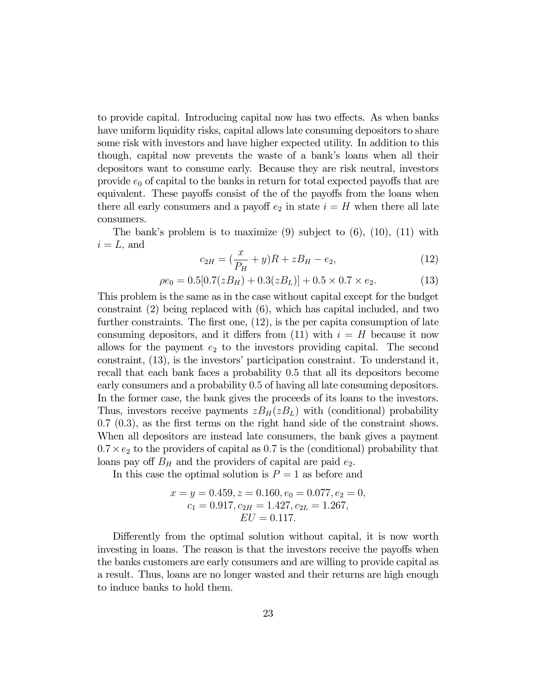to provide capital. Introducing capital now has two effects. As when banks have uniform liquidity risks, capital allows late consuming depositors to share some risk with investors and have higher expected utility. In addition to this though, capital now prevents the waste of a bank's loans when all their depositors want to consume early. Because they are risk neutral, investors provide  $e_0$  of capital to the banks in return for total expected payoffs that are equivalent. These payoffs consist of the of the payoffs from the loans when there all early consumers and a payoff  $e_2$  in state  $i = H$  when there all late consumers.

The bank's problem is to maximize  $(9)$  subject to  $(6)$ ,  $(10)$ ,  $(11)$  with  $i = L$ , and

$$
c_{2H} = \left(\frac{x}{P_H} + y\right)R + zB_H - e_2,\tag{12}
$$

$$
\rho e_0 = 0.5[0.7(zB_H) + 0.3(zB_L)] + 0.5 \times 0.7 \times e_2.
$$
 (13)

This problem is the same as in the case without capital except for the budget constraint (2) being replaced with (6), which has capital included, and two further constraints. The first one, (12), is the per capita consumption of late consuming depositors, and it differs from (11) with  $i = H$  because it now allows for the payment  $e_2$  to the investors providing capital. The second constraint, (13), is the investors' participation constraint. To understand it, recall that each bank faces a probability 0.5 that all its depositors become early consumers and a probability 0.5 of having all late consuming depositors. In the former case, the bank gives the proceeds of its loans to the investors. Thus, investors receive payments  $zB_H(zB_L)$  with (conditional) probability 0.7 (0.3), as the first terms on the right hand side of the constraint shows. When all depositors are instead late consumers, the bank gives a payment  $0.7 \times e_2$  to the providers of capital as 0.7 is the (conditional) probability that loans pay off  $B_H$  and the providers of capital are paid  $e_2$ .

In this case the optimal solution is  $P = 1$  as before and

$$
x = y = 0.459, z = 0.160, e_0 = 0.077, e_2 = 0,
$$
  

$$
c_1 = 0.917, c_{2H} = 1.427, c_{2L} = 1.267,
$$
  

$$
EU = 0.117.
$$

Differently from the optimal solution without capital, it is now worth investing in loans. The reason is that the investors receive the payoffs when the banks customers are early consumers and are willing to provide capital as a result. Thus, loans are no longer wasted and their returns are high enough to induce banks to hold them.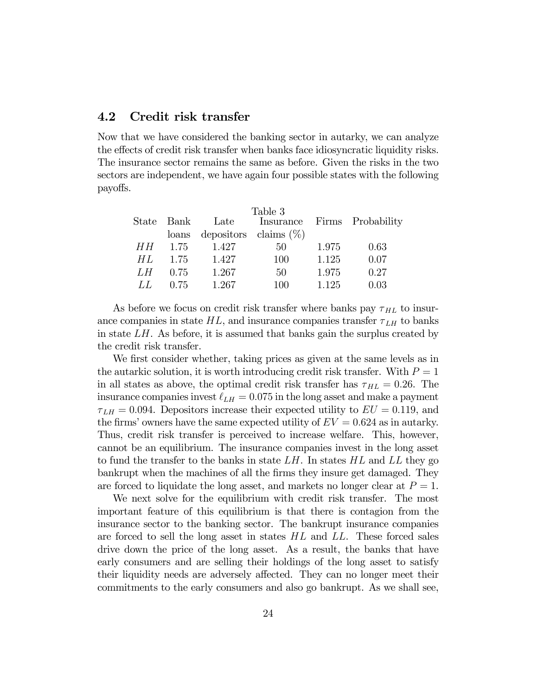### 4.2 Credit risk transfer

Now that we have considered the banking sector in autarky, we can analyze the effects of credit risk transfer when banks face idiosyncratic liquidity risks. The insurance sector remains the same as before. Given the risks in the two sectors are independent, we have again four possible states with the following payoffs.

| Table 3 |      |                                |     |       |                             |  |  |  |
|---------|------|--------------------------------|-----|-------|-----------------------------|--|--|--|
| State   | Bank | Late                           |     |       | Insurance Firms Probability |  |  |  |
|         |      | loans depositors claims $(\%)$ |     |       |                             |  |  |  |
| HН      | 1.75 | 1.427                          | 50  | 1.975 | 0.63                        |  |  |  |
| H L     | 1.75 | 1.427                          | 100 | 1.125 | 0.07                        |  |  |  |
| LH.     | 0.75 | 1.267                          | 50  | 1.975 | 0.27                        |  |  |  |
|         | 0.75 | 1.267                          | 100 | 1.125 | 0.03                        |  |  |  |

As before we focus on credit risk transfer where banks pay  $\tau_{HL}$  to insurance companies in state  $HL$ , and insurance companies transfer  $\tau_{LH}$  to banks in state  $LH$ . As before, it is assumed that banks gain the surplus created by the credit risk transfer.

We first consider whether, taking prices as given at the same levels as in the autarkic solution, it is worth introducing credit risk transfer. With  $P = 1$ in all states as above, the optimal credit risk transfer has  $\tau_{HL} = 0.26$ . The insurance companies invest  $\ell_{LH} = 0.075$  in the long asset and make a payment  $\tau_{LH} = 0.094$ . Depositors increase their expected utility to  $EU = 0.119$ , and the firms' owners have the same expected utility of  $EV = 0.624$  as in autarky. Thus, credit risk transfer is perceived to increase welfare. This, however, cannot be an equilibrium. The insurance companies invest in the long asset to fund the transfer to the banks in state  $LH$ . In states  $HL$  and  $LL$  they go bankrupt when the machines of all the firms they insure get damaged. They are forced to liquidate the long asset, and markets no longer clear at  $P = 1$ .

We next solve for the equilibrium with credit risk transfer. The most important feature of this equilibrium is that there is contagion from the insurance sector to the banking sector. The bankrupt insurance companies are forced to sell the long asset in states  $HL$  and  $LL$ . These forced sales drive down the price of the long asset. As a result, the banks that have early consumers and are selling their holdings of the long asset to satisfy their liquidity needs are adversely affected. They can no longer meet their commitments to the early consumers and also go bankrupt. As we shall see,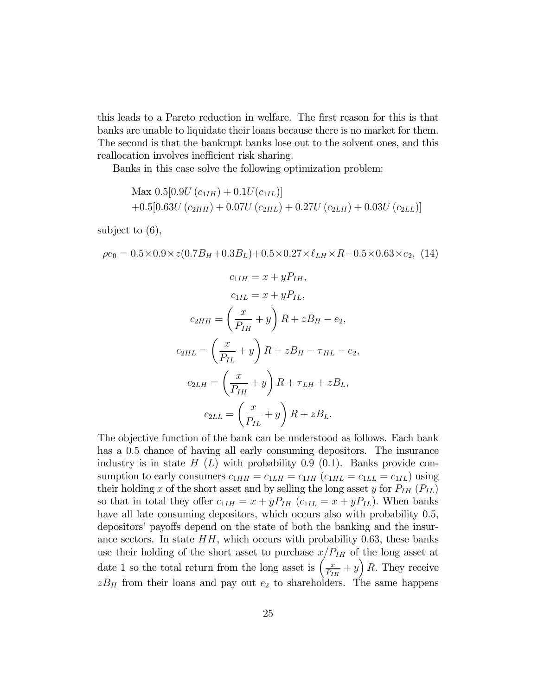this leads to a Pareto reduction in welfare. The first reason for this is that banks are unable to liquidate their loans because there is no market for them. The second is that the bankrupt banks lose out to the solvent ones, and this reallocation involves inefficient risk sharing.

Banks in this case solve the following optimization problem:

Max 0.5[0.9U 
$$
(c_{1IH})
$$
 + 0.1U $(c_{1IL})$ ]  
+0.5[0.63U  $(c_{2HH})$  + 0.07U  $(c_{2HL})$  + 0.27U  $(c_{2LH})$  + 0.03U  $(c_{2LL})$ ]

subject to (6),

 $\rho e_0 = 0.5 \times 0.9 \times z (0.7B_H + 0.3B_L) + 0.5 \times 0.27 \times \ell_{LH} \times R + 0.5 \times 0.63 \times \ell_2$ , (14)

$$
c_{1IH} = x + yP_{IH},
$$
  
\n
$$
c_{1IL} = x + yP_{IL},
$$
  
\n
$$
c_{2HH} = \left(\frac{x}{P_{IH}} + y\right)R + zB_{H} - e_{2},
$$
  
\n
$$
c_{2HL} = \left(\frac{x}{P_{IL}} + y\right)R + zB_{H} - \tau_{HL} - e_{2},
$$
  
\n
$$
c_{2LH} = \left(\frac{x}{P_{IH}} + y\right)R + \tau_{LH} + zB_{L},
$$
  
\n
$$
c_{2LL} = \left(\frac{x}{P_{IL}} + y\right)R + zB_{L}.
$$

The objective function of the bank can be understood as follows. Each bank has a 0.5 chance of having all early consuming depositors. The insurance industry is in state  $H(L)$  with probability 0.9 (0.1). Banks provide consumption to early consumers  $c_{1HH} = c_{1LH} = c_{1IH} (c_{1HL} = c_{1LL} = c_{1IL})$  using their holding x of the short asset and by selling the long asset y for  $P_{IH}$  ( $P_{IL}$ ) so that in total they offer  $c_{1IH} = x + yP_{IH}$   $(c_{1IL} = x + yP_{IL})$ . When banks have all late consuming depositors, which occurs also with probability 0.5, depositors' payoffs depend on the state of both the banking and the insurance sectors. In state  $HH$ , which occurs with probability 0.63, these banks use their holding of the short asset to purchase  $x/P_{IH}$  of the long asset at date 1 so the total return from the long asset is  $\left(\frac{x}{P_{IH}}+y\right)R$ . They receive  $zB_H$  from their loans and pay out  $e_2$  to shareholders. The same happens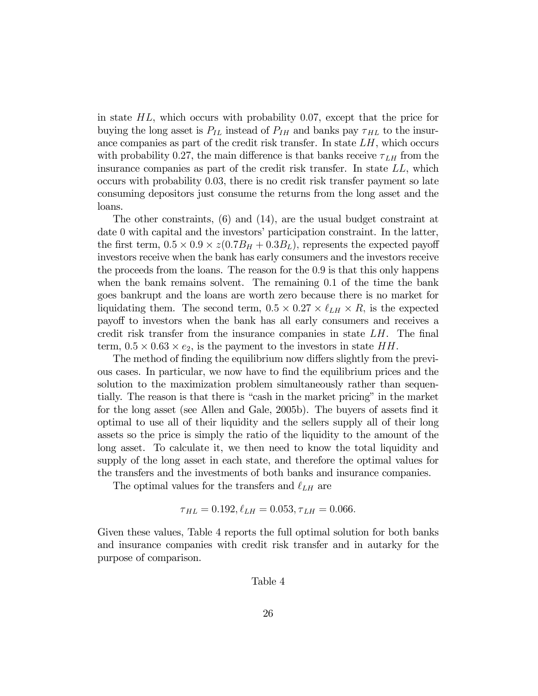in state HL, which occurs with probability 0.07, except that the price for buying the long asset is  $P_{IL}$  instead of  $P_{IH}$  and banks pay  $\tau_{HL}$  to the insurance companies as part of the credit risk transfer. In state  $LH$ , which occurs with probability 0.27, the main difference is that banks receive  $\tau_{LH}$  from the insurance companies as part of the credit risk transfer. In state LL, which occurs with probability 0.03, there is no credit risk transfer payment so late consuming depositors just consume the returns from the long asset and the loans.

The other constraints, (6) and (14), are the usual budget constraint at date 0 with capital and the investors' participation constraint. In the latter, the first term,  $0.5 \times 0.9 \times z(0.7B_H + 0.3B_L)$ , represents the expected payoff investors receive when the bank has early consumers and the investors receive the proceeds from the loans. The reason for the 0.9 is that this only happens when the bank remains solvent. The remaining 0.1 of the time the bank goes bankrupt and the loans are worth zero because there is no market for liquidating them. The second term,  $0.5 \times 0.27 \times \ell_{LH} \times R$ , is the expected payoff to investors when the bank has all early consumers and receives a credit risk transfer from the insurance companies in state LH. The final term,  $0.5 \times 0.63 \times e_2$ , is the payment to the investors in state HH.

The method of finding the equilibrium now differs slightly from the previous cases. In particular, we now have to find the equilibrium prices and the solution to the maximization problem simultaneously rather than sequentially. The reason is that there is "cash in the market pricing" in the market for the long asset (see Allen and Gale, 2005b). The buyers of assets find it optimal to use all of their liquidity and the sellers supply all of their long assets so the price is simply the ratio of the liquidity to the amount of the long asset. To calculate it, we then need to know the total liquidity and supply of the long asset in each state, and therefore the optimal values for the transfers and the investments of both banks and insurance companies.

The optimal values for the transfers and  $\ell_{LH}$  are

$$
\tau_{HL}=0.192, \ell_{LH}=0.053, \tau_{LH}=0.066.
$$

Given these values, Table 4 reports the full optimal solution for both banks and insurance companies with credit risk transfer and in autarky for the purpose of comparison.

#### Table 4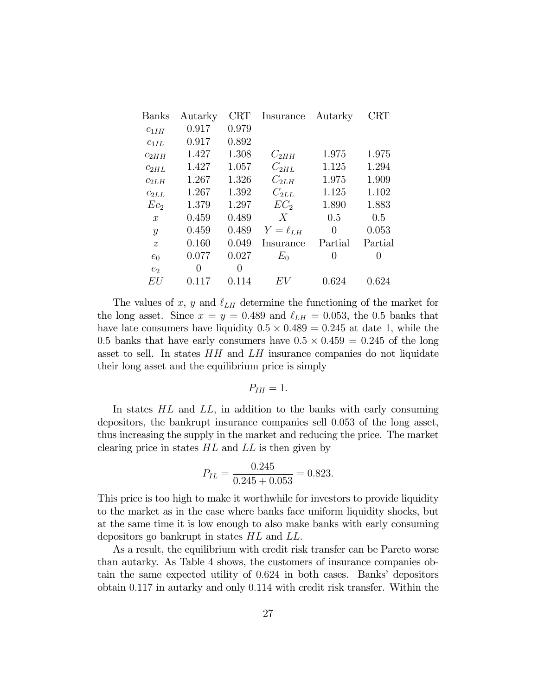| Banks             | Autarky | $\operatorname{CRT}$ | Insurance        | Autarky |                  |
|-------------------|---------|----------------------|------------------|---------|------------------|
| C <sub>1I</sub> H | 0.917   | 0.979                |                  |         |                  |
| $c_{1IL}$         | 0.917   | 0.892                |                  |         |                  |
| C <sub>2</sub> HH | 1.427   | 1.308                | $C_{2HH}$        | 1.975   | 1.975            |
| $c_{2HL}$         | 1.427   | 1.057                | $C_{2HL}$        | 1.125   | 1.294            |
| $c_{2LH}$         | 1.267   | 1.326                | $C_{2LH}$        | 1.975   | 1.909            |
| $c_{2LL}$         | 1.267   | 1.392                | $C_{2LL}$        | 1.125   | 1.102            |
| Ec <sub>2</sub>   | 1.379   | 1.297                | EC <sub>2</sub>  | 1.890   | 1.883            |
| $\boldsymbol{x}$  | 0.459   | 0.489                | $\boldsymbol{X}$ | 0.5     | 0.5              |
| $\mathcal{Y}$     | 0.459   | 0.489                | $Y=\ell_{LH}$    | 0       | 0.053            |
| $\tilde{z}$       | 0.160   | 0.049                | Insurance        | Partial | Partial          |
| $e_0$             | 0.077   | 0.027                | $E_0$            | 0       | $\left( \right)$ |
| $e_2$             | 0       | 0                    |                  |         |                  |
| EU                |         | 0 1 1 4              | EV               | 0.624   | 0.624            |
|                   |         |                      |                  |         |                  |

The values of x, y and  $\ell_{LH}$  determine the functioning of the market for the long asset. Since  $x = y = 0.489$  and  $\ell_{LH} = 0.053$ , the 0.5 banks that have late consumers have liquidity  $0.5 \times 0.489 = 0.245$  at date 1, while the 0.5 banks that have early consumers have  $0.5 \times 0.459 = 0.245$  of the long asset to sell. In states  $HH$  and  $LH$  insurance companies do not liquidate their long asset and the equilibrium price is simply

 $P_{IH} = 1.$ 

In states HL and LL, in addition to the banks with early consuming depositors, the bankrupt insurance companies sell 0.053 of the long asset, thus increasing the supply in the market and reducing the price. The market clearing price in states  $HL$  and  $LL$  is then given by

$$
P_{IL} = \frac{0.245}{0.245 + 0.053} = 0.823.
$$

This price is too high to make it worthwhile for investors to provide liquidity to the market as in the case where banks face uniform liquidity shocks, but at the same time it is low enough to also make banks with early consuming depositors go bankrupt in states HL and LL.

As a result, the equilibrium with credit risk transfer can be Pareto worse than autarky. As Table 4 shows, the customers of insurance companies obtain the same expected utility of 0.624 in both cases. Banks' depositors obtain 0.117 in autarky and only 0.114 with credit risk transfer. Within the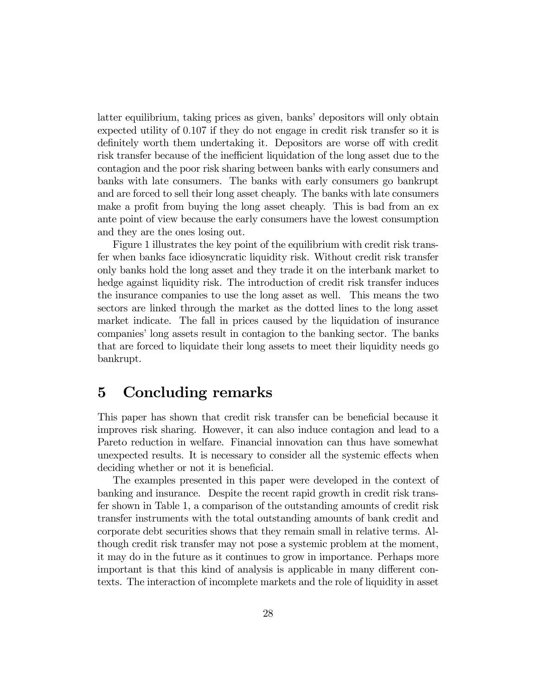latter equilibrium, taking prices as given, banks' depositors will only obtain expected utility of 0.107 if they do not engage in credit risk transfer so it is definitely worth them undertaking it. Depositors are worse off with credit risk transfer because of the inefficient liquidation of the long asset due to the contagion and the poor risk sharing between banks with early consumers and banks with late consumers. The banks with early consumers go bankrupt and are forced to sell their long asset cheaply. The banks with late consumers make a profit from buying the long asset cheaply. This is bad from an ex ante point of view because the early consumers have the lowest consumption and they are the ones losing out.

Figure 1 illustrates the key point of the equilibrium with credit risk transfer when banks face idiosyncratic liquidity risk. Without credit risk transfer only banks hold the long asset and they trade it on the interbank market to hedge against liquidity risk. The introduction of credit risk transfer induces the insurance companies to use the long asset as well. This means the two sectors are linked through the market as the dotted lines to the long asset market indicate. The fall in prices caused by the liquidation of insurance companies' long assets result in contagion to the banking sector. The banks that are forced to liquidate their long assets to meet their liquidity needs go bankrupt.

## 5 Concluding remarks

This paper has shown that credit risk transfer can be beneficial because it improves risk sharing. However, it can also induce contagion and lead to a Pareto reduction in welfare. Financial innovation can thus have somewhat unexpected results. It is necessary to consider all the systemic effects when deciding whether or not it is beneficial.

The examples presented in this paper were developed in the context of banking and insurance. Despite the recent rapid growth in credit risk transfer shown in Table 1, a comparison of the outstanding amounts of credit risk transfer instruments with the total outstanding amounts of bank credit and corporate debt securities shows that they remain small in relative terms. Although credit risk transfer may not pose a systemic problem at the moment, it may do in the future as it continues to grow in importance. Perhaps more important is that this kind of analysis is applicable in many different contexts. The interaction of incomplete markets and the role of liquidity in asset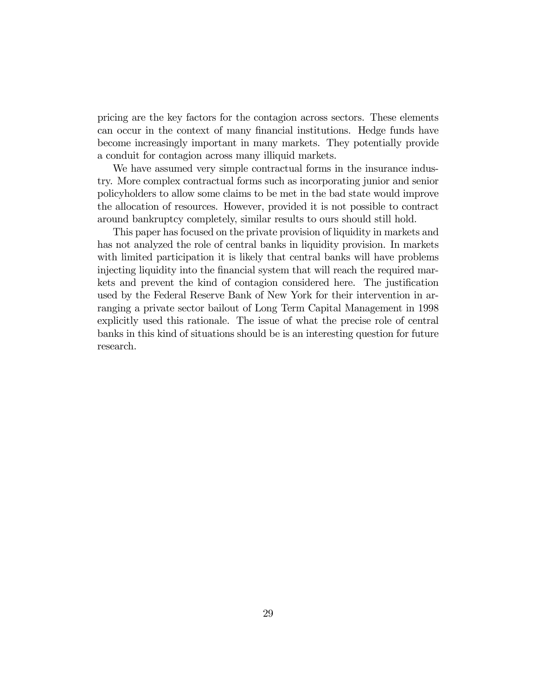pricing are the key factors for the contagion across sectors. These elements can occur in the context of many financial institutions. Hedge funds have become increasingly important in many markets. They potentially provide a conduit for contagion across many illiquid markets.

We have assumed very simple contractual forms in the insurance industry. More complex contractual forms such as incorporating junior and senior policyholders to allow some claims to be met in the bad state would improve the allocation of resources. However, provided it is not possible to contract around bankruptcy completely, similar results to ours should still hold.

This paper has focused on the private provision of liquidity in markets and has not analyzed the role of central banks in liquidity provision. In markets with limited participation it is likely that central banks will have problems injecting liquidity into the financial system that will reach the required markets and prevent the kind of contagion considered here. The justification used by the Federal Reserve Bank of New York for their intervention in arranging a private sector bailout of Long Term Capital Management in 1998 explicitly used this rationale. The issue of what the precise role of central banks in this kind of situations should be is an interesting question for future research.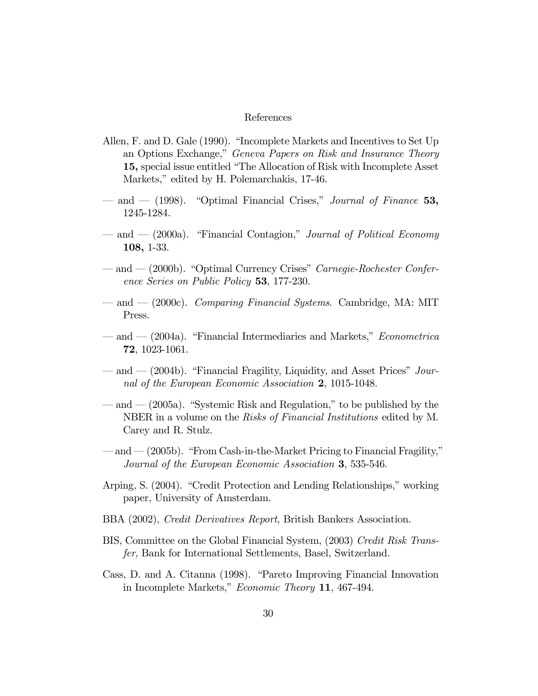#### References

- Allen, F. and D. Gale (1990). "Incomplete Markets and Incentives to Set Up an Options Exchange," Geneva Papers on Risk and Insurance Theory 15, special issue entitled "The Allocation of Risk with Incomplete Asset Markets," edited by H. Polemarchakis, 17-46.
- $-$  and  $-$  (1998). "Optimal Financial Crises," *Journal of Finance* 53, 1245-1284.
- $-$  and  $-$  (2000a). "Financial Contagion," Journal of Political Economy 108, 1-33.
- $-$  and  $-$  (2000b). "Optimal Currency Crises" *Carnegie-Rochester Confer*ence Series on Public Policy 53, 177-230.
- $-$  and  $-$  (2000c). Comparing Financial Systems. Cambridge, MA: MIT Press.
- $-$  and  $-$  (2004a). "Financial Intermediaries and Markets," *Econometrica* 72, 1023-1061.
- $-$  and  $-$  (2004b). "Financial Fragility, Liquidity, and Asset Prices" *Jour*nal of the European Economic Association 2, 1015-1048.
- $-$  and  $-$  (2005a). "Systemic Risk and Regulation," to be published by the NBER in a volume on the Risks of Financial Institutions edited by M. Carey and R. Stulz.
- $-\text{and} (2005b)$ . "From Cash-in-the-Market Pricing to Financial Fragility," Journal of the European Economic Association 3, 535-546.
- Arping, S. (2004). "Credit Protection and Lending Relationships," working paper, University of Amsterdam.
- BBA (2002), Credit Derivatives Report, British Bankers Association.
- BIS, Committee on the Global Financial System, (2003) Credit Risk Transfer, Bank for International Settlements, Basel, Switzerland.
- Cass, D. and A. Citanna (1998). "Pareto Improving Financial Innovation in Incomplete Markets," Economic Theory 11, 467-494.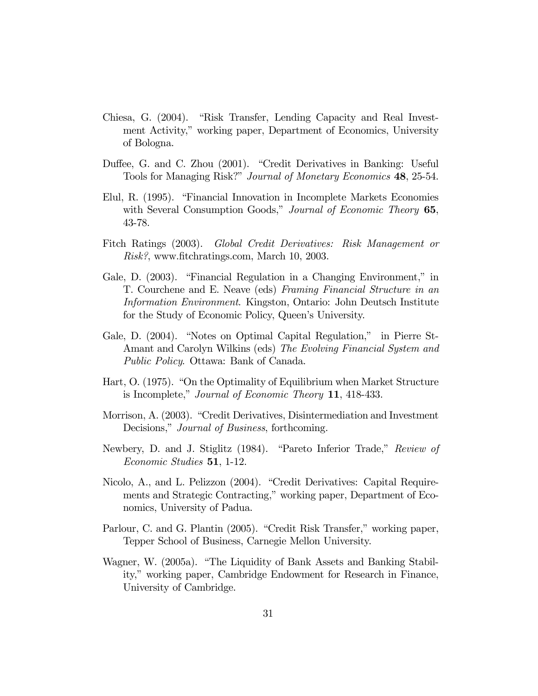- Chiesa, G. (2004). "Risk Transfer, Lending Capacity and Real Investment Activity," working paper, Department of Economics, University of Bologna.
- Duffee, G. and C. Zhou (2001). "Credit Derivatives in Banking: Useful Tools for Managing Risk?" Journal of Monetary Economics 48, 25-54.
- Elul, R. (1995). "Financial Innovation in Incomplete Markets Economies with Several Consumption Goods," Journal of Economic Theory 65, 43-78.
- Fitch Ratings (2003). Global Credit Derivatives: Risk Management or Risk?, www.fitchratings.com, March 10, 2003.
- Gale, D. (2003). "Financial Regulation in a Changing Environment," in T. Courchene and E. Neave (eds) Framing Financial Structure in an Information Environment. Kingston, Ontario: John Deutsch Institute for the Study of Economic Policy, Queen's University.
- Gale, D. (2004). "Notes on Optimal Capital Regulation," in Pierre St-Amant and Carolyn Wilkins (eds) The Evolving Financial System and Public Policy. Ottawa: Bank of Canada.
- Hart, O. (1975). "On the Optimality of Equilibrium when Market Structure is Incomplete," Journal of Economic Theory 11, 418-433.
- Morrison, A. (2003). "Credit Derivatives, Disintermediation and Investment Decisions," *Journal of Business*, forthcoming.
- Newbery, D. and J. Stiglitz (1984). "Pareto Inferior Trade," Review of Economic Studies 51, 1-12.
- Nicolo, A., and L. Pelizzon (2004). "Credit Derivatives: Capital Requirements and Strategic Contracting," working paper, Department of Economics, University of Padua.
- Parlour, C. and G. Plantin (2005). "Credit Risk Transfer," working paper, Tepper School of Business, Carnegie Mellon University.
- Wagner, W. (2005a). "The Liquidity of Bank Assets and Banking Stability," working paper, Cambridge Endowment for Research in Finance, University of Cambridge.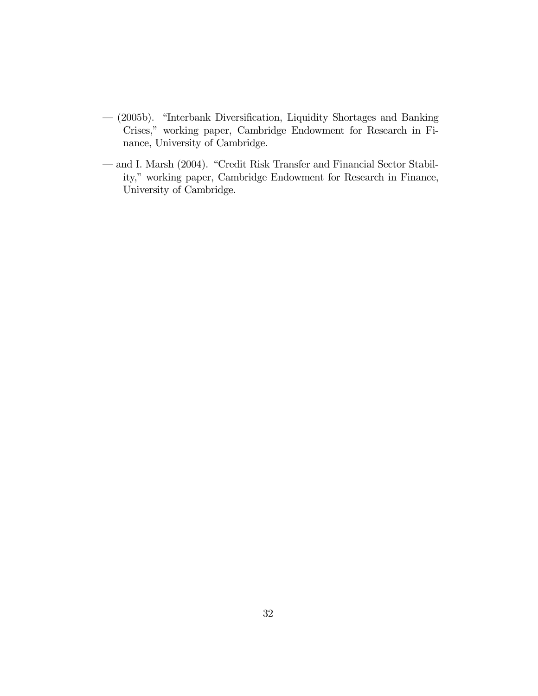- (2005b). "Interbank Diversification, Liquidity Shortages and Banking Crises," working paper, Cambridge Endowment for Research in Finance, University of Cambridge.
- and I. Marsh (2004). "Credit Risk Transfer and Financial Sector Stability," working paper, Cambridge Endowment for Research in Finance, University of Cambridge.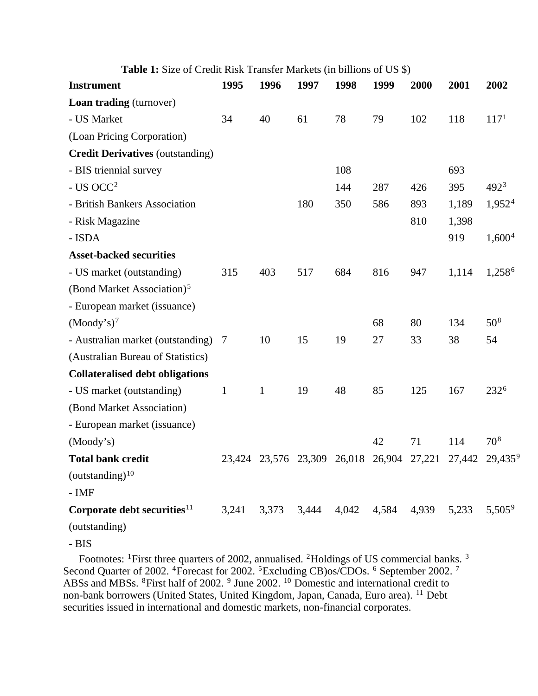| Table 1: Size of Credit Risk Transfer Markets (in billions of US \$) |              |              |                         |      |                   |      |                                                                      |                    |  |
|----------------------------------------------------------------------|--------------|--------------|-------------------------|------|-------------------|------|----------------------------------------------------------------------|--------------------|--|
| <b>Instrument</b>                                                    | 1995         | 1996         | 1997                    | 1998 | 1999              | 2000 | 2001                                                                 | 2002               |  |
| Loan trading (turnover)                                              |              |              |                         |      |                   |      |                                                                      |                    |  |
| - US Market                                                          | 34           | 40           | 61                      | 78   | 79                | 102  | 118                                                                  | 117 <sup>1</sup>   |  |
| (Loan Pricing Corporation)                                           |              |              |                         |      |                   |      |                                                                      |                    |  |
| <b>Credit Derivatives (outstanding)</b>                              |              |              |                         |      |                   |      |                                                                      |                    |  |
| - BIS triennial survey                                               |              |              |                         | 108  |                   |      | 693                                                                  |                    |  |
| $-$ US OCC <sup>2</sup>                                              |              |              |                         | 144  | 287               | 426  | 395                                                                  | $492^3$            |  |
| - British Bankers Association                                        |              |              | 180                     | 350  | 586               | 893  | 1,189                                                                | 1,952 <sup>4</sup> |  |
| - Risk Magazine                                                      |              |              |                         |      |                   | 810  | 1,398                                                                |                    |  |
| - ISDA                                                               |              |              |                         |      |                   |      | 919                                                                  | 1,600 <sup>4</sup> |  |
| <b>Asset-backed securities</b>                                       |              |              |                         |      |                   |      |                                                                      |                    |  |
| - US market (outstanding)                                            | 315          | 403          | 517                     | 684  | 816               | 947  | 1,114                                                                | 1,258 <sup>6</sup> |  |
| (Bond Market Association) <sup>5</sup>                               |              |              |                         |      |                   |      |                                                                      |                    |  |
| - European market (issuance)                                         |              |              |                         |      |                   |      |                                                                      |                    |  |
| (Moody's) <sup>7</sup>                                               |              |              |                         |      | 68                | 80   | 134                                                                  | $50^{8}$           |  |
| - Australian market (outstanding)                                    | 7            | 10           | 15                      | 19   | 27                | 33   | 38                                                                   | 54                 |  |
| (Australian Bureau of Statistics)                                    |              |              |                         |      |                   |      |                                                                      |                    |  |
| <b>Collateralised debt obligations</b>                               |              |              |                         |      |                   |      |                                                                      |                    |  |
| - US market (outstanding)                                            | $\mathbf{1}$ | $\mathbf{1}$ | 19                      | 48   | 85                | 125  | 167                                                                  | 232 <sup>6</sup>   |  |
| (Bond Market Association)                                            |              |              |                         |      |                   |      |                                                                      |                    |  |
| - European market (issuance)                                         |              |              |                         |      |                   |      |                                                                      |                    |  |
| (Moody's)                                                            |              |              |                         |      | 42                | 71   | 114                                                                  | $70^{8}$           |  |
| <b>Total bank credit</b>                                             |              |              |                         |      |                   |      | 23,424 23,576 23,309 26,018 26,904 27,221 27,442 29,435 <sup>9</sup> |                    |  |
| (outstanding) $10$                                                   |              |              |                         |      |                   |      |                                                                      |                    |  |
| $-$ IMF                                                              |              |              |                         |      |                   |      |                                                                      |                    |  |
| Corporate debt securities $11$                                       |              |              | 3,241 3,373 3,444 4,042 |      | 4,584 4,939 5,233 |      |                                                                      | $5,505^9$          |  |
| (outstanding)                                                        |              |              |                         |      |                   |      |                                                                      |                    |  |
| $\mathbf{D}$ $\mathbf{D}$                                            |              |              |                         |      |                   |      |                                                                      |                    |  |

- BIS

Footnotes:  $^1$ First three quarters of 2002, annualised.  $^2$ Holdings of US commercial banks.  $^3$ Second Quarter of 2002. <sup>4</sup>Forecast for 2002. <sup>5</sup>Excluding CB)os/CDOs. <sup>6</sup> September 2002. <sup>7</sup> ABSs and MBSs. <sup>8</sup>First half of 2002. <sup>9</sup> June 2002. <sup>10</sup> Domestic and international credit to non-bank borrowers (United States, United Kingdom, Japan, Canada, Euro area). <sup>11</sup> Debt securities issued in international and domestic markets, non-financial corporates.